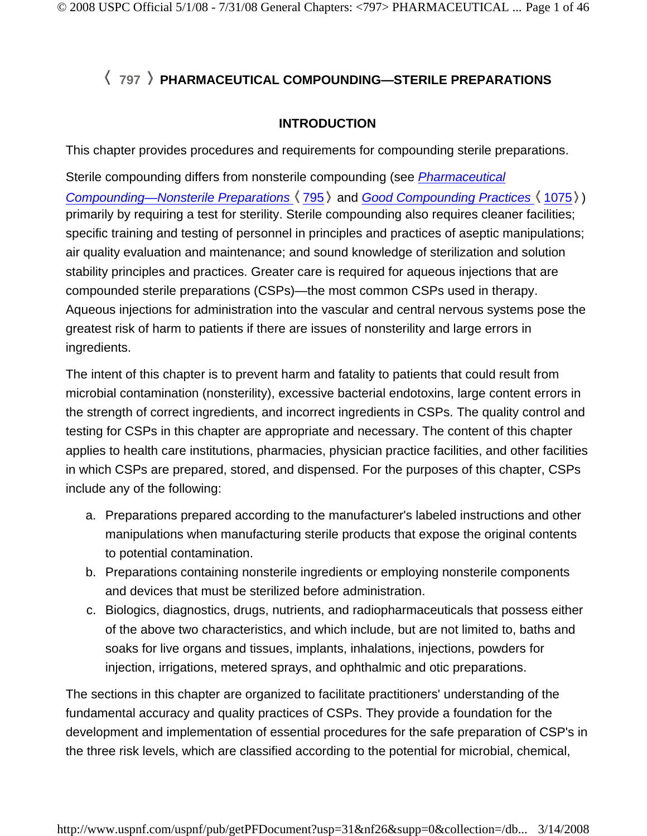# **797 PHARMACEUTICAL COMPOUNDING—STERILE PREPARATIONS**

## **INTRODUCTION**

This chapter provides procedures and requirements for compounding sterile preparations.

Sterile compounding differs from nonsterile compounding (see *Pharmaceutical* 

*Compounding—Nonsterile Preparations* (795) and *Good Compounding Practices* (1075) primarily by requiring a test for sterility. Sterile compounding also requires cleaner facilities; specific training and testing of personnel in principles and practices of aseptic manipulations; air quality evaluation and maintenance; and sound knowledge of sterilization and solution stability principles and practices. Greater care is required for aqueous injections that are compounded sterile preparations (CSPs)—the most common CSPs used in therapy. Aqueous injections for administration into the vascular and central nervous systems pose the greatest risk of harm to patients if there are issues of nonsterility and large errors in ingredients.

The intent of this chapter is to prevent harm and fatality to patients that could result from microbial contamination (nonsterility), excessive bacterial endotoxins, large content errors in the strength of correct ingredients, and incorrect ingredients in CSPs. The quality control and testing for CSPs in this chapter are appropriate and necessary. The content of this chapter applies to health care institutions, pharmacies, physician practice facilities, and other facilities in which CSPs are prepared, stored, and dispensed. For the purposes of this chapter, CSPs include any of the following:

- a. Preparations prepared according to the manufacturer's labeled instructions and other manipulations when manufacturing sterile products that expose the original contents to potential contamination.
- b. Preparations containing nonsterile ingredients or employing nonsterile components and devices that must be sterilized before administration.
- c. Biologics, diagnostics, drugs, nutrients, and radiopharmaceuticals that possess either of the above two characteristics, and which include, but are not limited to, baths and soaks for live organs and tissues, implants, inhalations, injections, powders for injection, irrigations, metered sprays, and ophthalmic and otic preparations.

The sections in this chapter are organized to facilitate practitioners' understanding of the fundamental accuracy and quality practices of CSPs. They provide a foundation for the development and implementation of essential procedures for the safe preparation of CSP's in the three risk levels, which are classified according to the potential for microbial, chemical,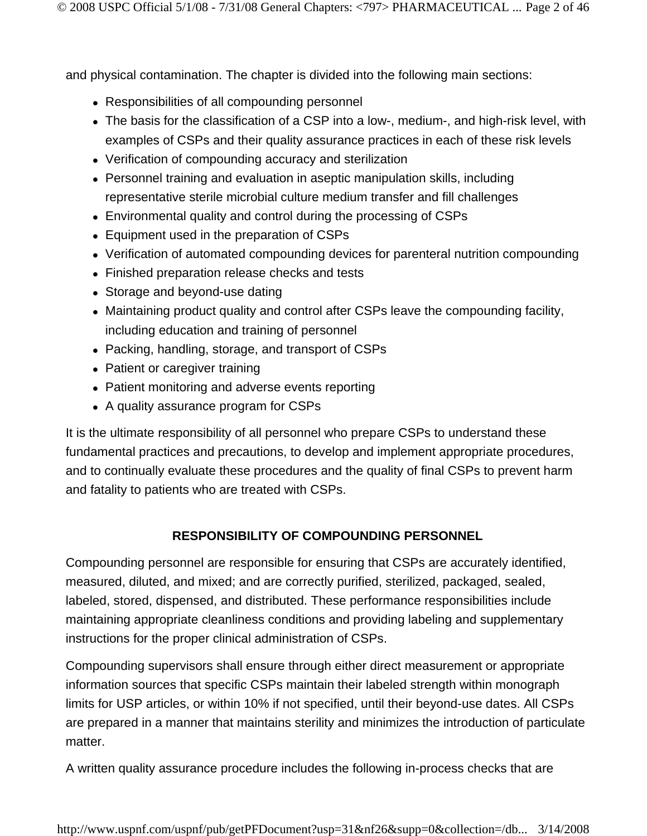and physical contamination. The chapter is divided into the following main sections:

- Responsibilities of all compounding personnel
- The basis for the classification of a CSP into a low-, medium-, and high-risk level, with examples of CSPs and their quality assurance practices in each of these risk levels
- Verification of compounding accuracy and sterilization
- Personnel training and evaluation in aseptic manipulation skills, including representative sterile microbial culture medium transfer and fill challenges
- Environmental quality and control during the processing of CSPs
- Equipment used in the preparation of CSPs
- Verification of automated compounding devices for parenteral nutrition compounding
- Finished preparation release checks and tests
- Storage and beyond-use dating
- Maintaining product quality and control after CSPs leave the compounding facility, including education and training of personnel
- Packing, handling, storage, and transport of CSPs
- Patient or caregiver training
- Patient monitoring and adverse events reporting
- A quality assurance program for CSPs

It is the ultimate responsibility of all personnel who prepare CSPs to understand these fundamental practices and precautions, to develop and implement appropriate procedures, and to continually evaluate these procedures and the quality of final CSPs to prevent harm and fatality to patients who are treated with CSPs.

## **RESPONSIBILITY OF COMPOUNDING PERSONNEL**

Compounding personnel are responsible for ensuring that CSPs are accurately identified, measured, diluted, and mixed; and are correctly purified, sterilized, packaged, sealed, labeled, stored, dispensed, and distributed. These performance responsibilities include maintaining appropriate cleanliness conditions and providing labeling and supplementary instructions for the proper clinical administration of CSPs.

Compounding supervisors shall ensure through either direct measurement or appropriate information sources that specific CSPs maintain their labeled strength within monograph limits for USP articles, or within 10% if not specified, until their beyond-use dates. All CSPs are prepared in a manner that maintains sterility and minimizes the introduction of particulate matter.

A written quality assurance procedure includes the following in-process checks that are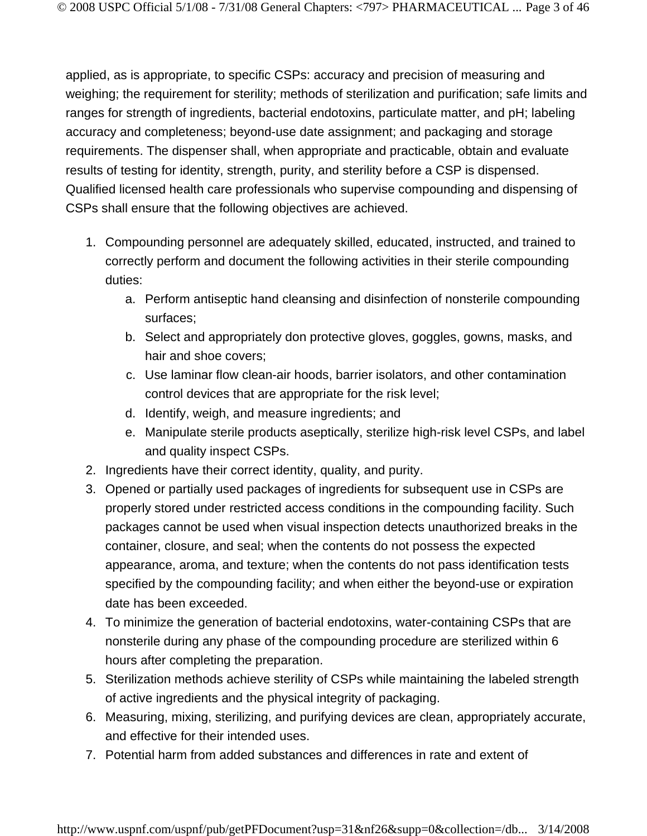applied, as is appropriate, to specific CSPs: accuracy and precision of measuring and weighing; the requirement for sterility; methods of sterilization and purification; safe limits and ranges for strength of ingredients, bacterial endotoxins, particulate matter, and pH; labeling accuracy and completeness; beyond-use date assignment; and packaging and storage requirements. The dispenser shall, when appropriate and practicable, obtain and evaluate results of testing for identity, strength, purity, and sterility before a CSP is dispensed. Qualified licensed health care professionals who supervise compounding and dispensing of CSPs shall ensure that the following objectives are achieved.

- 1. Compounding personnel are adequately skilled, educated, instructed, and trained to correctly perform and document the following activities in their sterile compounding duties:
	- a. Perform antiseptic hand cleansing and disinfection of nonsterile compounding surfaces;
	- b. Select and appropriately don protective gloves, goggles, gowns, masks, and hair and shoe covers;
	- c. Use laminar flow clean-air hoods, barrier isolators, and other contamination control devices that are appropriate for the risk level;
	- d. Identify, weigh, and measure ingredients; and
	- e. Manipulate sterile products aseptically, sterilize high-risk level CSPs, and label and quality inspect CSPs.
- 2. Ingredients have their correct identity, quality, and purity.
- 3. Opened or partially used packages of ingredients for subsequent use in CSPs are properly stored under restricted access conditions in the compounding facility. Such packages cannot be used when visual inspection detects unauthorized breaks in the container, closure, and seal; when the contents do not possess the expected appearance, aroma, and texture; when the contents do not pass identification tests specified by the compounding facility; and when either the beyond-use or expiration date has been exceeded.
- 4. To minimize the generation of bacterial endotoxins, water-containing CSPs that are nonsterile during any phase of the compounding procedure are sterilized within 6 hours after completing the preparation.
- 5. Sterilization methods achieve sterility of CSPs while maintaining the labeled strength of active ingredients and the physical integrity of packaging.
- 6. Measuring, mixing, sterilizing, and purifying devices are clean, appropriately accurate, and effective for their intended uses.
- 7. Potential harm from added substances and differences in rate and extent of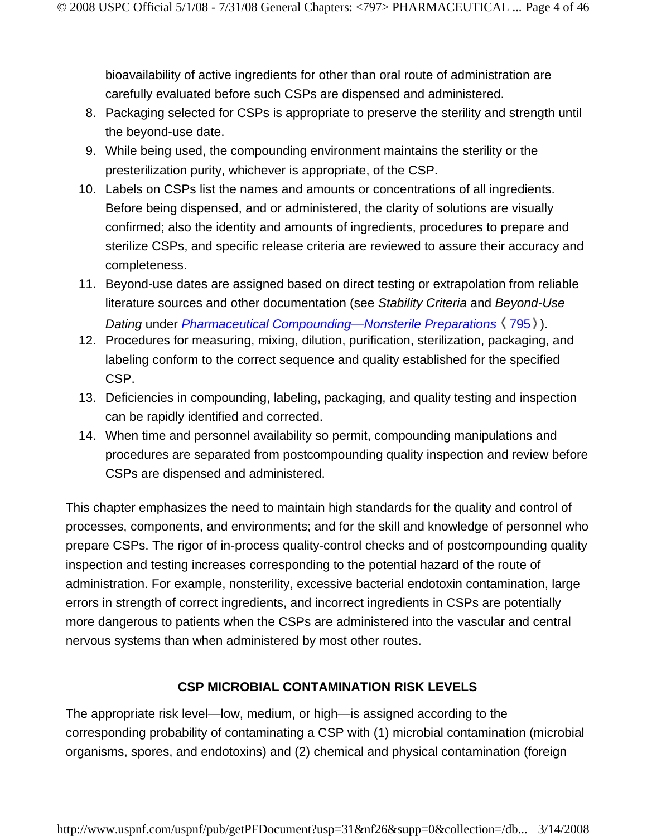bioavailability of active ingredients for other than oral route of administration are carefully evaluated before such CSPs are dispensed and administered.

- 8. Packaging selected for CSPs is appropriate to preserve the sterility and strength until the beyond-use date.
- 9. While being used, the compounding environment maintains the sterility or the presterilization purity, whichever is appropriate, of the CSP.
- 10. Labels on CSPs list the names and amounts or concentrations of all ingredients. Before being dispensed, and or administered, the clarity of solutions are visually confirmed; also the identity and amounts of ingredients, procedures to prepare and sterilize CSPs, and specific release criteria are reviewed to assure their accuracy and completeness.
- 11. Beyond-use dates are assigned based on direct testing or extrapolation from reliable literature sources and other documentation (see *Stability Criteria* and *Beyond-Use Dating* under *Pharmaceutical Compounding—Nonsterile Preparations* 795 ).
- 12. Procedures for measuring, mixing, dilution, purification, sterilization, packaging, and labeling conform to the correct sequence and quality established for the specified CSP.
- 13. Deficiencies in compounding, labeling, packaging, and quality testing and inspection can be rapidly identified and corrected.
- 14. When time and personnel availability so permit, compounding manipulations and procedures are separated from postcompounding quality inspection and review before CSPs are dispensed and administered.

This chapter emphasizes the need to maintain high standards for the quality and control of processes, components, and environments; and for the skill and knowledge of personnel who prepare CSPs. The rigor of in-process quality-control checks and of postcompounding quality inspection and testing increases corresponding to the potential hazard of the route of administration. For example, nonsterility, excessive bacterial endotoxin contamination, large errors in strength of correct ingredients, and incorrect ingredients in CSPs are potentially more dangerous to patients when the CSPs are administered into the vascular and central nervous systems than when administered by most other routes.

## **CSP MICROBIAL CONTAMINATION RISK LEVELS**

The appropriate risk level—low, medium, or high—is assigned according to the corresponding probability of contaminating a CSP with (1) microbial contamination (microbial organisms, spores, and endotoxins) and (2) chemical and physical contamination (foreign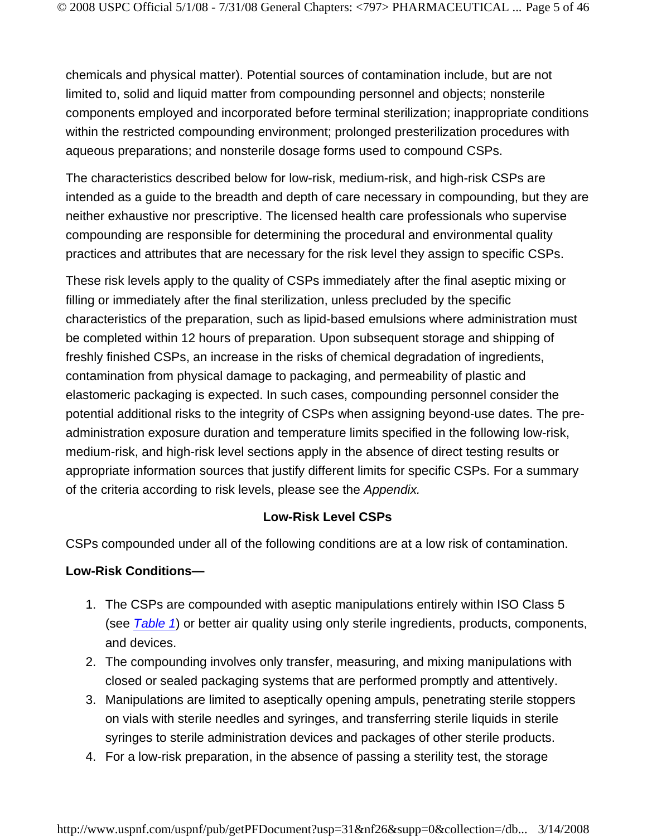chemicals and physical matter). Potential sources of contamination include, but are not limited to, solid and liquid matter from compounding personnel and objects; nonsterile components employed and incorporated before terminal sterilization; inappropriate conditions within the restricted compounding environment; prolonged presterilization procedures with aqueous preparations; and nonsterile dosage forms used to compound CSPs.

The characteristics described below for low-risk, medium-risk, and high-risk CSPs are intended as a guide to the breadth and depth of care necessary in compounding, but they are neither exhaustive nor prescriptive. The licensed health care professionals who supervise compounding are responsible for determining the procedural and environmental quality practices and attributes that are necessary for the risk level they assign to specific CSPs.

These risk levels apply to the quality of CSPs immediately after the final aseptic mixing or filling or immediately after the final sterilization, unless precluded by the specific characteristics of the preparation, such as lipid-based emulsions where administration must be completed within 12 hours of preparation. Upon subsequent storage and shipping of freshly finished CSPs, an increase in the risks of chemical degradation of ingredients, contamination from physical damage to packaging, and permeability of plastic and elastomeric packaging is expected. In such cases, compounding personnel consider the potential additional risks to the integrity of CSPs when assigning beyond-use dates. The preadministration exposure duration and temperature limits specified in the following low-risk, medium-risk, and high-risk level sections apply in the absence of direct testing results or appropriate information sources that justify different limits for specific CSPs. For a summary of the criteria according to risk levels, please see the *Appendix.*

## **Low-Risk Level CSPs**

CSPs compounded under all of the following conditions are at a low risk of contamination.

## **Low-Risk Conditions—**

- 1. The CSPs are compounded with aseptic manipulations entirely within ISO Class 5 (see *Table 1*) or better air quality using only sterile ingredients, products, components, and devices.
- 2. The compounding involves only transfer, measuring, and mixing manipulations with closed or sealed packaging systems that are performed promptly and attentively.
- 3. Manipulations are limited to aseptically opening ampuls, penetrating sterile stoppers on vials with sterile needles and syringes, and transferring sterile liquids in sterile syringes to sterile administration devices and packages of other sterile products.
- 4. For a low-risk preparation, in the absence of passing a sterility test, the storage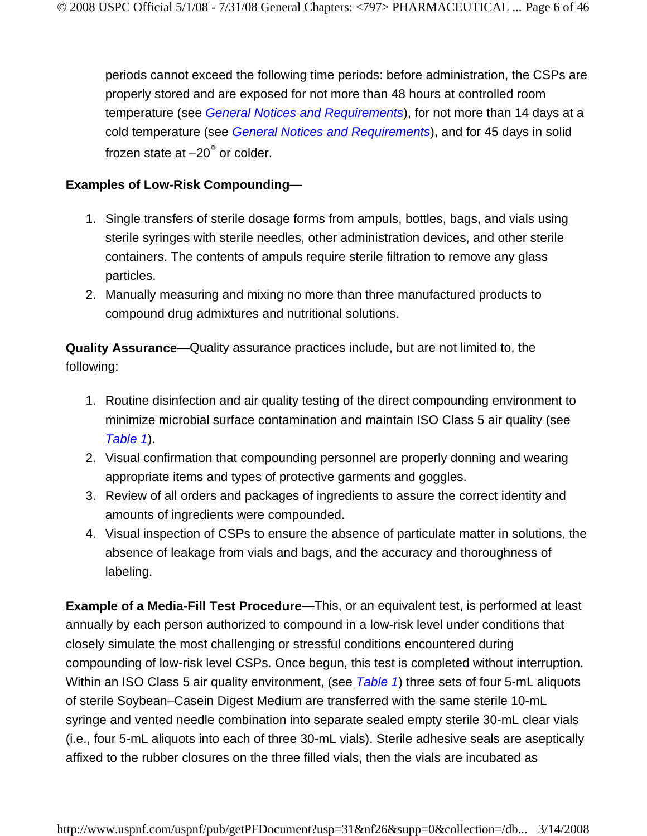periods cannot exceed the following time periods: before administration, the CSPs are properly stored and are exposed for not more than 48 hours at controlled room temperature (see *General Notices and Requirements*), for not more than 14 days at a cold temperature (see *General Notices and Requirements*), and for 45 days in solid frozen state at  $-20^\circ$  or colder.

#### **Examples of Low-Risk Compounding—**

- 1. Single transfers of sterile dosage forms from ampuls, bottles, bags, and vials using sterile syringes with sterile needles, other administration devices, and other sterile containers. The contents of ampuls require sterile filtration to remove any glass particles.
- 2. Manually measuring and mixing no more than three manufactured products to compound drug admixtures and nutritional solutions.

**Quality Assurance—**Quality assurance practices include, but are not limited to, the following:

- 1. Routine disinfection and air quality testing of the direct compounding environment to minimize microbial surface contamination and maintain ISO Class 5 air quality (see *Table 1*).
- 2. Visual confirmation that compounding personnel are properly donning and wearing appropriate items and types of protective garments and goggles.
- 3. Review of all orders and packages of ingredients to assure the correct identity and amounts of ingredients were compounded.
- 4. Visual inspection of CSPs to ensure the absence of particulate matter in solutions, the absence of leakage from vials and bags, and the accuracy and thoroughness of labeling.

**Example of a Media-Fill Test Procedure—**This, or an equivalent test, is performed at least annually by each person authorized to compound in a low-risk level under conditions that closely simulate the most challenging or stressful conditions encountered during compounding of low-risk level CSPs. Once begun, this test is completed without interruption. Within an ISO Class 5 air quality environment, (see *Table 1*) three sets of four 5-mL aliquots of sterile Soybean–Casein Digest Medium are transferred with the same sterile 10-mL syringe and vented needle combination into separate sealed empty sterile 30-mL clear vials (i.e., four 5-mL aliquots into each of three 30-mL vials). Sterile adhesive seals are aseptically affixed to the rubber closures on the three filled vials, then the vials are incubated as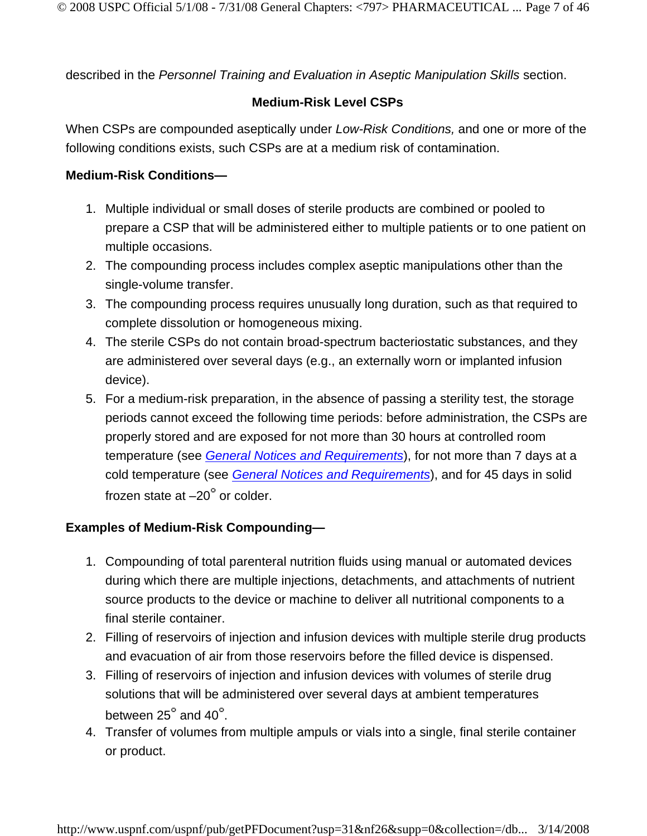described in the *Personnel Training and Evaluation in Aseptic Manipulation Skills* section.

## **Medium-Risk Level CSPs**

When CSPs are compounded aseptically under *Low-Risk Conditions,* and one or more of the following conditions exists, such CSPs are at a medium risk of contamination.

## **Medium-Risk Conditions—**

- 1. Multiple individual or small doses of sterile products are combined or pooled to prepare a CSP that will be administered either to multiple patients or to one patient on multiple occasions.
- 2. The compounding process includes complex aseptic manipulations other than the single-volume transfer.
- 3. The compounding process requires unusually long duration, such as that required to complete dissolution or homogeneous mixing.
- 4. The sterile CSPs do not contain broad-spectrum bacteriostatic substances, and they are administered over several days (e.g., an externally worn or implanted infusion device).
- 5. For a medium-risk preparation, in the absence of passing a sterility test, the storage periods cannot exceed the following time periods: before administration, the CSPs are properly stored and are exposed for not more than 30 hours at controlled room temperature (see *General Notices and Requirements*), for not more than 7 days at a cold temperature (see *General Notices and Requirements*), and for 45 days in solid frozen state at  $-20^\circ$  or colder.

## **Examples of Medium-Risk Compounding—**

- 1. Compounding of total parenteral nutrition fluids using manual or automated devices during which there are multiple injections, detachments, and attachments of nutrient source products to the device or machine to deliver all nutritional components to a final sterile container.
- 2. Filling of reservoirs of injection and infusion devices with multiple sterile drug products and evacuation of air from those reservoirs before the filled device is dispensed.
- 3. Filling of reservoirs of injection and infusion devices with volumes of sterile drug solutions that will be administered over several days at ambient temperatures between  $25^\circ$  and  $40^\circ$ .
- 4. Transfer of volumes from multiple ampuls or vials into a single, final sterile container or product.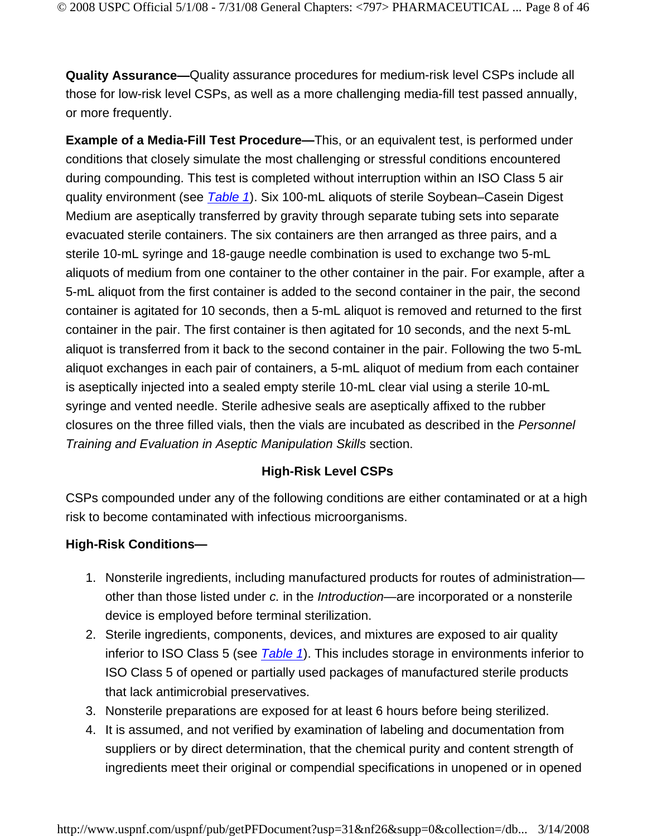**Quality Assurance—**Quality assurance procedures for medium-risk level CSPs include all those for low-risk level CSPs, as well as a more challenging media-fill test passed annually, or more frequently.

**Example of a Media-Fill Test Procedure—**This, or an equivalent test, is performed under conditions that closely simulate the most challenging or stressful conditions encountered during compounding. This test is completed without interruption within an ISO Class 5 air quality environment (see *Table 1*). Six 100-mL aliquots of sterile Soybean–Casein Digest Medium are aseptically transferred by gravity through separate tubing sets into separate evacuated sterile containers. The six containers are then arranged as three pairs, and a sterile 10-mL syringe and 18-gauge needle combination is used to exchange two 5-mL aliquots of medium from one container to the other container in the pair. For example, after a 5-mL aliquot from the first container is added to the second container in the pair, the second container is agitated for 10 seconds, then a 5-mL aliquot is removed and returned to the first container in the pair. The first container is then agitated for 10 seconds, and the next 5-mL aliquot is transferred from it back to the second container in the pair. Following the two 5-mL aliquot exchanges in each pair of containers, a 5-mL aliquot of medium from each container is aseptically injected into a sealed empty sterile 10-mL clear vial using a sterile 10-mL syringe and vented needle. Sterile adhesive seals are aseptically affixed to the rubber closures on the three filled vials, then the vials are incubated as described in the *Personnel Training and Evaluation in Aseptic Manipulation Skills* section.

## **High-Risk Level CSPs**

CSPs compounded under any of the following conditions are either contaminated or at a high risk to become contaminated with infectious microorganisms.

## **High-Risk Conditions—**

- 1. Nonsterile ingredients, including manufactured products for routes of administration other than those listed under *c.* in the *Introduction—*are incorporated or a nonsterile device is employed before terminal sterilization.
- 2. Sterile ingredients, components, devices, and mixtures are exposed to air quality inferior to ISO Class 5 (see *Table 1*). This includes storage in environments inferior to ISO Class 5 of opened or partially used packages of manufactured sterile products that lack antimicrobial preservatives.
- 3. Nonsterile preparations are exposed for at least 6 hours before being sterilized.
- 4. It is assumed, and not verified by examination of labeling and documentation from suppliers or by direct determination, that the chemical purity and content strength of ingredients meet their original or compendial specifications in unopened or in opened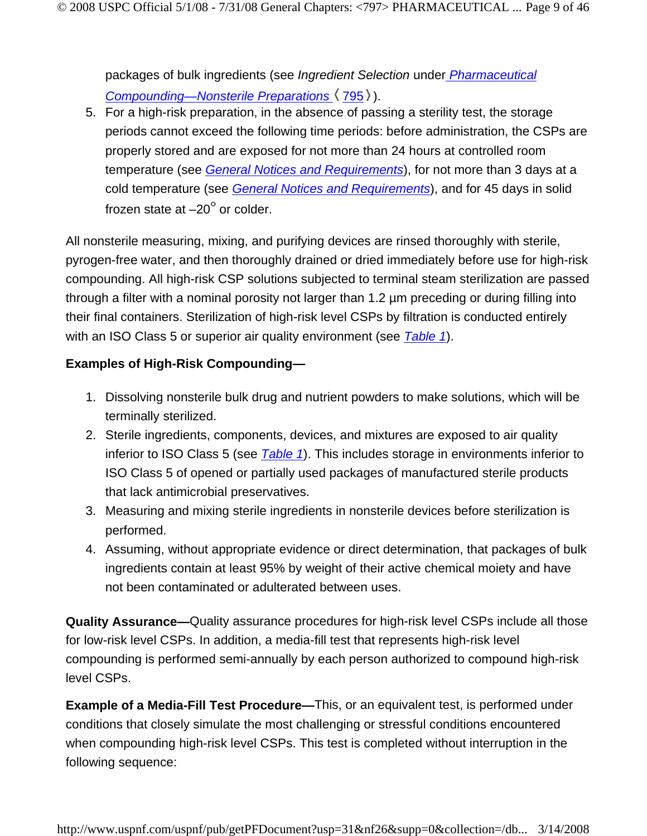packages of bulk ingredients (see *Ingredient Selection* under *Pharmaceutical Compounding—Nonsterile Preparations* 795 ).

5. For a high-risk preparation, in the absence of passing a sterility test, the storage periods cannot exceed the following time periods: before administration, the CSPs are properly stored and are exposed for not more than 24 hours at controlled room temperature (see *General Notices and Requirements*), for not more than 3 days at a cold temperature (see *General Notices and Requirements*), and for 45 days in solid frozen state at  $-20^\circ$  or colder.

All nonsterile measuring, mixing, and purifying devices are rinsed thoroughly with sterile, pyrogen-free water, and then thoroughly drained or dried immediately before use for high-risk compounding. All high-risk CSP solutions subjected to terminal steam sterilization are passed through a filter with a nominal porosity not larger than 1.2 µm preceding or during filling into their final containers. Sterilization of high-risk level CSPs by filtration is conducted entirely with an ISO Class 5 or superior air quality environment (see *Table 1*).

## **Examples of High-Risk Compounding—**

- 1. Dissolving nonsterile bulk drug and nutrient powders to make solutions, which will be terminally sterilized.
- 2. Sterile ingredients, components, devices, and mixtures are exposed to air quality inferior to ISO Class 5 (see *Table 1*). This includes storage in environments inferior to ISO Class 5 of opened or partially used packages of manufactured sterile products that lack antimicrobial preservatives.
- 3. Measuring and mixing sterile ingredients in nonsterile devices before sterilization is performed.
- 4. Assuming, without appropriate evidence or direct determination, that packages of bulk ingredients contain at least 95% by weight of their active chemical moiety and have not been contaminated or adulterated between uses.

**Quality Assurance—**Quality assurance procedures for high-risk level CSPs include all those for low-risk level CSPs. In addition, a media-fill test that represents high-risk level compounding is performed semi-annually by each person authorized to compound high-risk level CSPs.

**Example of a Media-Fill Test Procedure—**This, or an equivalent test, is performed under conditions that closely simulate the most challenging or stressful conditions encountered when compounding high-risk level CSPs. This test is completed without interruption in the following sequence: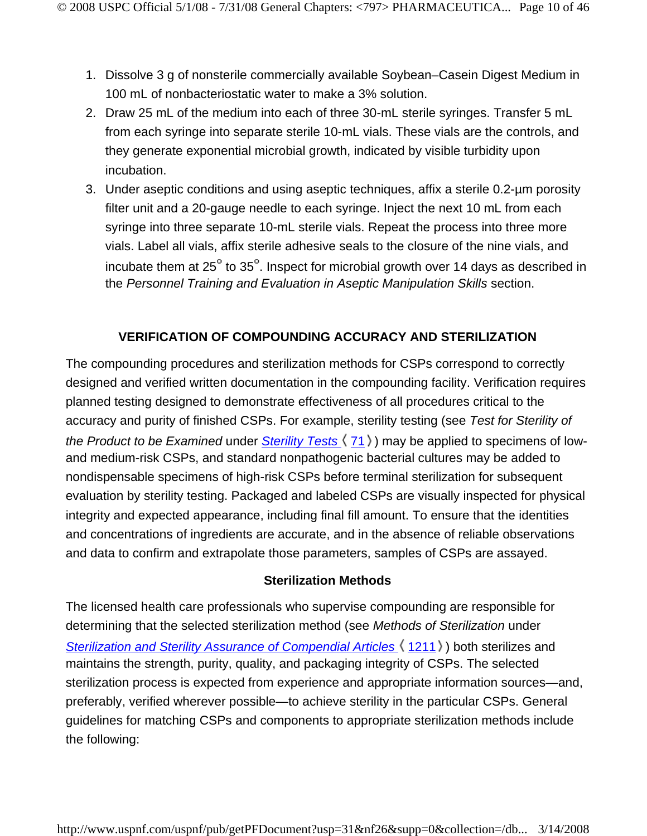- 1. Dissolve 3 g of nonsterile commercially available Soybean–Casein Digest Medium in 100 mL of nonbacteriostatic water to make a 3% solution.
- 2. Draw 25 mL of the medium into each of three 30-mL sterile syringes. Transfer 5 mL from each syringe into separate sterile 10-mL vials. These vials are the controls, and they generate exponential microbial growth, indicated by visible turbidity upon incubation.
- 3. Under aseptic conditions and using aseptic techniques, affix a sterile 0.2-µm porosity filter unit and a 20-gauge needle to each syringe. Inject the next 10 mL from each syringe into three separate 10-mL sterile vials. Repeat the process into three more vials. Label all vials, affix sterile adhesive seals to the closure of the nine vials, and incubate them at  $25^\circ$  to  $35^\circ$ . Inspect for microbial growth over 14 days as described in the *Personnel Training and Evaluation in Aseptic Manipulation Skills* section.

## **VERIFICATION OF COMPOUNDING ACCURACY AND STERILIZATION**

The compounding procedures and sterilization methods for CSPs correspond to correctly designed and verified written documentation in the compounding facility. Verification requires planned testing designed to demonstrate effectiveness of all procedures critical to the accuracy and purity of finished CSPs. For example, sterility testing (see *Test for Sterility of the Product to be Examined* under *Sterility Tests* 71 ) may be applied to specimens of lowand medium-risk CSPs, and standard nonpathogenic bacterial cultures may be added to nondispensable specimens of high-risk CSPs before terminal sterilization for subsequent evaluation by sterility testing. Packaged and labeled CSPs are visually inspected for physical integrity and expected appearance, including final fill amount. To ensure that the identities and concentrations of ingredients are accurate, and in the absence of reliable observations and data to confirm and extrapolate those parameters, samples of CSPs are assayed.

#### **Sterilization Methods**

The licensed health care professionals who supervise compounding are responsible for determining that the selected sterilization method (see *Methods of Sterilization* under *Sterilization and Sterility Assurance of Compendial Articles* (1211) both sterilizes and maintains the strength, purity, quality, and packaging integrity of CSPs. The selected sterilization process is expected from experience and appropriate information sources—and, preferably, verified wherever possible—to achieve sterility in the particular CSPs. General guidelines for matching CSPs and components to appropriate sterilization methods include the following: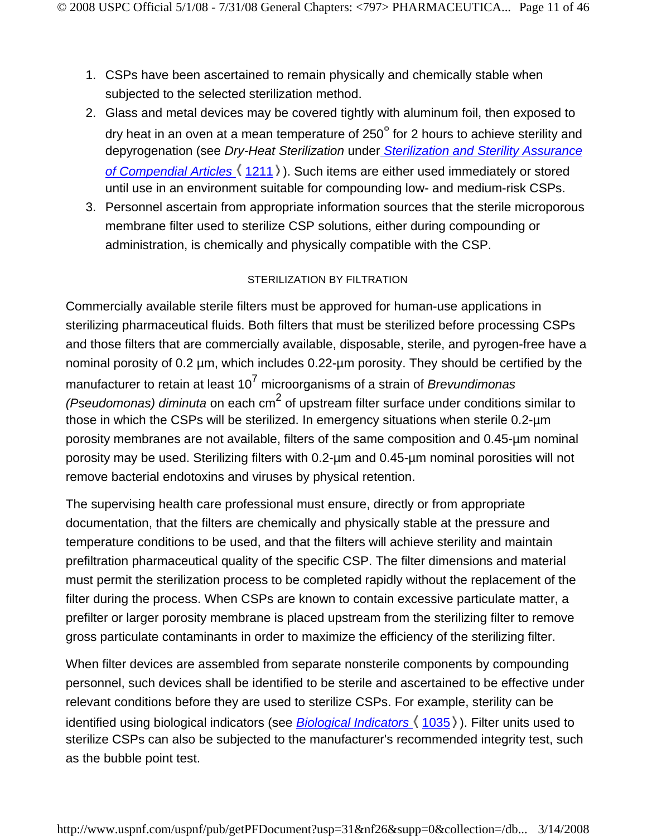- 1. CSPs have been ascertained to remain physically and chemically stable when subjected to the selected sterilization method.
- 2. Glass and metal devices may be covered tightly with aluminum foil, then exposed to dry heat in an oven at a mean temperature of  $250^\circ$  for 2 hours to achieve sterility and depyrogenation (see *Dry-Heat Sterilization* under *Sterilization and Sterility Assurance of Compendial Articles* 1211 ). Such items are either used immediately or stored until use in an environment suitable for compounding low- and medium-risk CSPs.
- 3. Personnel ascertain from appropriate information sources that the sterile microporous membrane filter used to sterilize CSP solutions, either during compounding or administration, is chemically and physically compatible with the CSP.

#### STERILIZATION BY FILTRATION

Commercially available sterile filters must be approved for human-use applications in sterilizing pharmaceutical fluids. Both filters that must be sterilized before processing CSPs and those filters that are commercially available, disposable, sterile, and pyrogen-free have a nominal porosity of 0.2  $\mu$ m, which includes 0.22- $\mu$ m porosity. They should be certified by the manufacturer to retain at least 10<sup>7</sup> microorganisms of a strain of *Brevundimonas* (Pseudomonas) diminuta on each cm<sup>2</sup> of upstream filter surface under conditions similar to those in which the CSPs will be sterilized. In emergency situations when sterile 0.2-µm porosity membranes are not available, filters of the same composition and 0.45-µm nominal porosity may be used. Sterilizing filters with 0.2-µm and 0.45-µm nominal porosities will not remove bacterial endotoxins and viruses by physical retention.

The supervising health care professional must ensure, directly or from appropriate documentation, that the filters are chemically and physically stable at the pressure and temperature conditions to be used, and that the filters will achieve sterility and maintain prefiltration pharmaceutical quality of the specific CSP. The filter dimensions and material must permit the sterilization process to be completed rapidly without the replacement of the filter during the process. When CSPs are known to contain excessive particulate matter, a prefilter or larger porosity membrane is placed upstream from the sterilizing filter to remove gross particulate contaminants in order to maximize the efficiency of the sterilizing filter.

When filter devices are assembled from separate nonsterile components by compounding personnel, such devices shall be identified to be sterile and ascertained to be effective under relevant conditions before they are used to sterilize CSPs. For example, sterility can be identified using biological indicators (see *Biological Indicators* 1035 ). Filter units used to sterilize CSPs can also be subjected to the manufacturer's recommended integrity test, such as the bubble point test.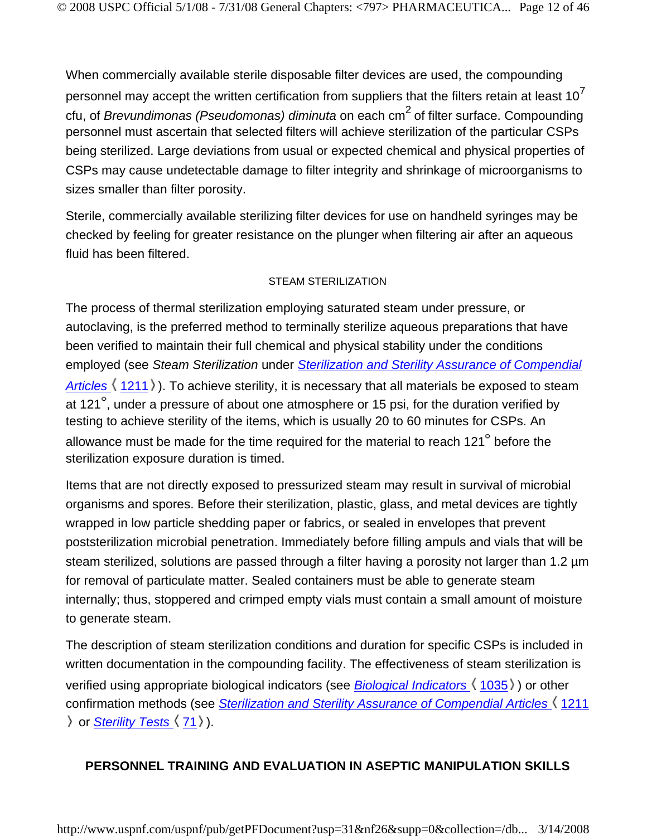When commercially available sterile disposable filter devices are used, the compounding personnel may accept the written certification from suppliers that the filters retain at least  $10^7$ cfu, of *Brevundimonas (Pseudomonas) diminuta* on each cm2 of filter surface. Compounding personnel must ascertain that selected filters will achieve sterilization of the particular CSPs being sterilized. Large deviations from usual or expected chemical and physical properties of CSPs may cause undetectable damage to filter integrity and shrinkage of microorganisms to sizes smaller than filter porosity.

Sterile, commercially available sterilizing filter devices for use on handheld syringes may be checked by feeling for greater resistance on the plunger when filtering air after an aqueous fluid has been filtered.

#### STEAM STERILIZATION

The process of thermal sterilization employing saturated steam under pressure, or autoclaving, is the preferred method to terminally sterilize aqueous preparations that have been verified to maintain their full chemical and physical stability under the conditions employed (see *Steam Sterilization* under *Sterilization and Sterility Assurance of Compendial*  Articles (1211). To achieve sterility, it is necessary that all materials be exposed to steam at 121<sup>°</sup>, under a pressure of about one atmosphere or 15 psi, for the duration verified by testing to achieve sterility of the items, which is usually 20 to 60 minutes for CSPs. An allowance must be made for the time required for the material to reach 121° before the sterilization exposure duration is timed.

Items that are not directly exposed to pressurized steam may result in survival of microbial organisms and spores. Before their sterilization, plastic, glass, and metal devices are tightly wrapped in low particle shedding paper or fabrics, or sealed in envelopes that prevent poststerilization microbial penetration. Immediately before filling ampuls and vials that will be steam sterilized, solutions are passed through a filter having a porosity not larger than 1.2 µm for removal of particulate matter. Sealed containers must be able to generate steam internally; thus, stoppered and crimped empty vials must contain a small amount of moisture to generate steam.

The description of steam sterilization conditions and duration for specific CSPs is included in written documentation in the compounding facility. The effectiveness of steam sterilization is verified using appropriate biological indicators (see *Biological Indicators* 1035 ) or other confirmation methods (see *Sterilization and Sterility Assurance of Compendial Articles* 1211 ) or *Sterility Tests* (71).

#### **PERSONNEL TRAINING AND EVALUATION IN ASEPTIC MANIPULATION SKILLS**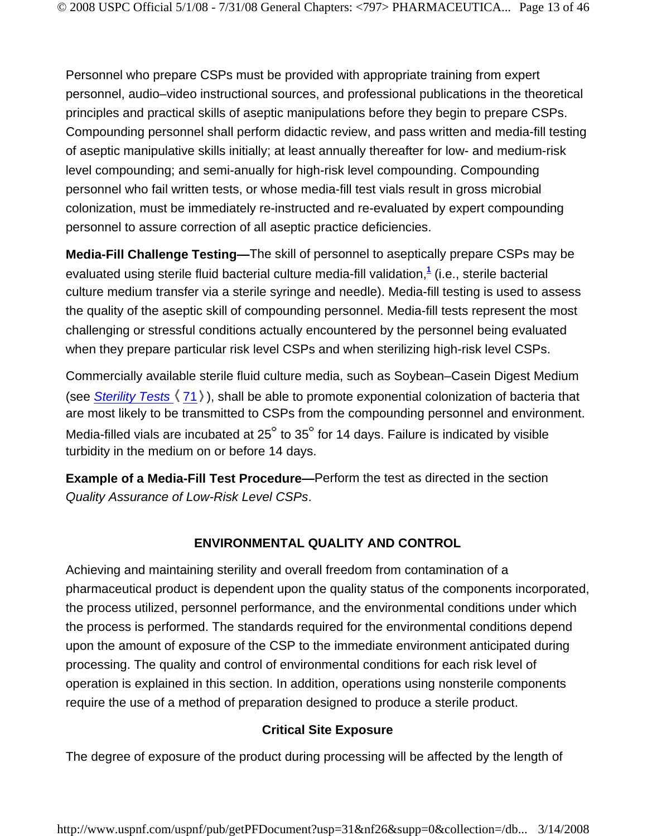Personnel who prepare CSPs must be provided with appropriate training from expert personnel, audio–video instructional sources, and professional publications in the theoretical principles and practical skills of aseptic manipulations before they begin to prepare CSPs. Compounding personnel shall perform didactic review, and pass written and media-fill testing of aseptic manipulative skills initially; at least annually thereafter for low- and medium-risk level compounding; and semi-anually for high-risk level compounding. Compounding personnel who fail written tests, or whose media-fill test vials result in gross microbial colonization, must be immediately re-instructed and re-evaluated by expert compounding personnel to assure correction of all aseptic practice deficiencies.

**Media-Fill Challenge Testing—**The skill of personnel to aseptically prepare CSPs may be evaluated using sterile fluid bacterial culture media-fill validation,**<sup>1</sup>** (i.e., sterile bacterial culture medium transfer via a sterile syringe and needle). Media-fill testing is used to assess the quality of the aseptic skill of compounding personnel. Media-fill tests represent the most challenging or stressful conditions actually encountered by the personnel being evaluated when they prepare particular risk level CSPs and when sterilizing high-risk level CSPs.

Commercially available sterile fluid culture media, such as Soybean–Casein Digest Medium (see *Sterility Tests* 71 ), shall be able to promote exponential colonization of bacteria that are most likely to be transmitted to CSPs from the compounding personnel and environment. Media-filled vials are incubated at  $25^\circ$  to  $35^\circ$  for 14 days. Failure is indicated by visible turbidity in the medium on or before 14 days.

**Example of a Media-Fill Test Procedure—**Perform the test as directed in the section *Quality Assurance of Low-Risk Level CSPs*.

## **ENVIRONMENTAL QUALITY AND CONTROL**

Achieving and maintaining sterility and overall freedom from contamination of a pharmaceutical product is dependent upon the quality status of the components incorporated, the process utilized, personnel performance, and the environmental conditions under which the process is performed. The standards required for the environmental conditions depend upon the amount of exposure of the CSP to the immediate environment anticipated during processing. The quality and control of environmental conditions for each risk level of operation is explained in this section. In addition, operations using nonsterile components require the use of a method of preparation designed to produce a sterile product.

## **Critical Site Exposure**

The degree of exposure of the product during processing will be affected by the length of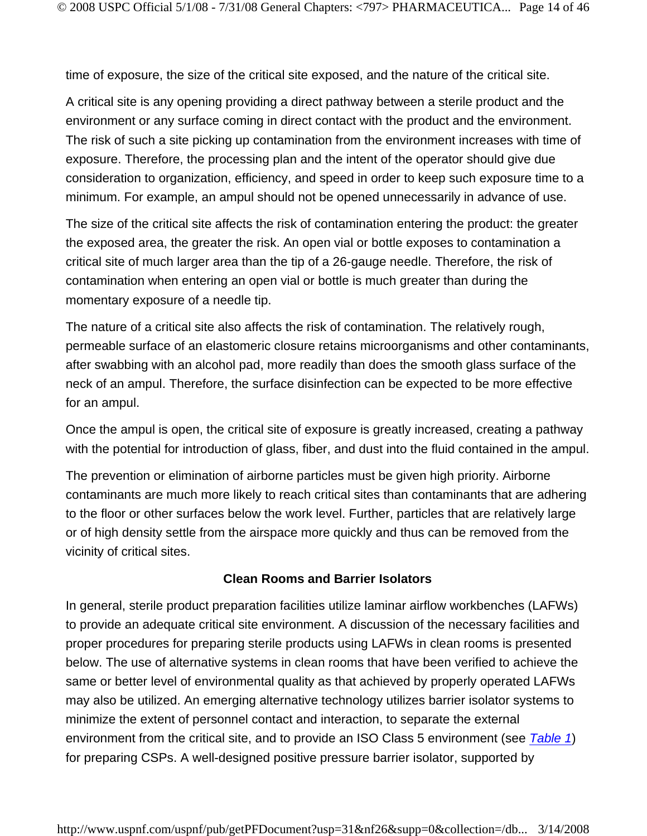time of exposure, the size of the critical site exposed, and the nature of the critical site.

A critical site is any opening providing a direct pathway between a sterile product and the environment or any surface coming in direct contact with the product and the environment. The risk of such a site picking up contamination from the environment increases with time of exposure. Therefore, the processing plan and the intent of the operator should give due consideration to organization, efficiency, and speed in order to keep such exposure time to a minimum. For example, an ampul should not be opened unnecessarily in advance of use.

The size of the critical site affects the risk of contamination entering the product: the greater the exposed area, the greater the risk. An open vial or bottle exposes to contamination a critical site of much larger area than the tip of a 26-gauge needle. Therefore, the risk of contamination when entering an open vial or bottle is much greater than during the momentary exposure of a needle tip.

The nature of a critical site also affects the risk of contamination. The relatively rough, permeable surface of an elastomeric closure retains microorganisms and other contaminants, after swabbing with an alcohol pad, more readily than does the smooth glass surface of the neck of an ampul. Therefore, the surface disinfection can be expected to be more effective for an ampul.

Once the ampul is open, the critical site of exposure is greatly increased, creating a pathway with the potential for introduction of glass, fiber, and dust into the fluid contained in the ampul.

The prevention or elimination of airborne particles must be given high priority. Airborne contaminants are much more likely to reach critical sites than contaminants that are adhering to the floor or other surfaces below the work level. Further, particles that are relatively large or of high density settle from the airspace more quickly and thus can be removed from the vicinity of critical sites.

#### **Clean Rooms and Barrier Isolators**

In general, sterile product preparation facilities utilize laminar airflow workbenches (LAFWs) to provide an adequate critical site environment. A discussion of the necessary facilities and proper procedures for preparing sterile products using LAFWs in clean rooms is presented below. The use of alternative systems in clean rooms that have been verified to achieve the same or better level of environmental quality as that achieved by properly operated LAFWs may also be utilized. An emerging alternative technology utilizes barrier isolator systems to minimize the extent of personnel contact and interaction, to separate the external environment from the critical site, and to provide an ISO Class 5 environment (see *Table 1*) for preparing CSPs. A well-designed positive pressure barrier isolator, supported by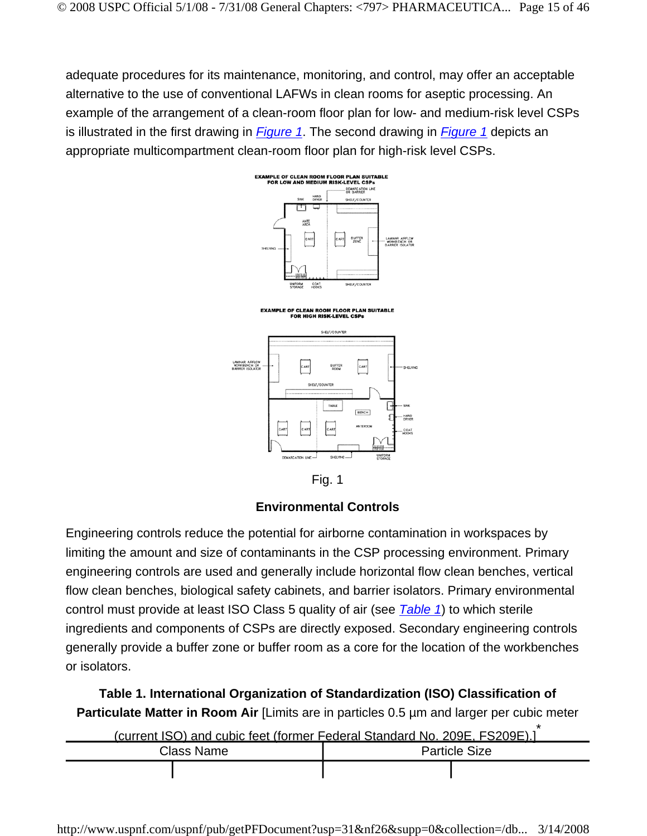adequate procedures for its maintenance, monitoring, and control, may offer an acceptable alternative to the use of conventional LAFWs in clean rooms for aseptic processing. An example of the arrangement of a clean-room floor plan for low- and medium-risk level CSPs is illustrated in the first drawing in *Figure 1*. The second drawing in *Figure 1* depicts an appropriate multicompartment clean-room floor plan for high-risk level CSPs.





## **Environmental Controls**

Engineering controls reduce the potential for airborne contamination in workspaces by limiting the amount and size of contaminants in the CSP processing environment. Primary engineering controls are used and generally include horizontal flow clean benches, vertical flow clean benches, biological safety cabinets, and barrier isolators. Primary environmental control must provide at least ISO Class 5 quality of air (see *Table 1*) to which sterile ingredients and components of CSPs are directly exposed. Secondary engineering controls generally provide a buffer zone or buffer room as a core for the location of the workbenches or isolators.

**Table 1. International Organization of Standardization (ISO) Classification of Particulate Matter in Room Air** [Limits are in particles 0.5 µm and larger per cubic meter

| (current ISO) and cubic feet (former Federal Standard No. 209E, FS209E).] |  |
|---------------------------------------------------------------------------|--|
|                                                                           |  |

| <b>Class Name</b> | <b>Particle Size</b> |
|-------------------|----------------------|
|                   |                      |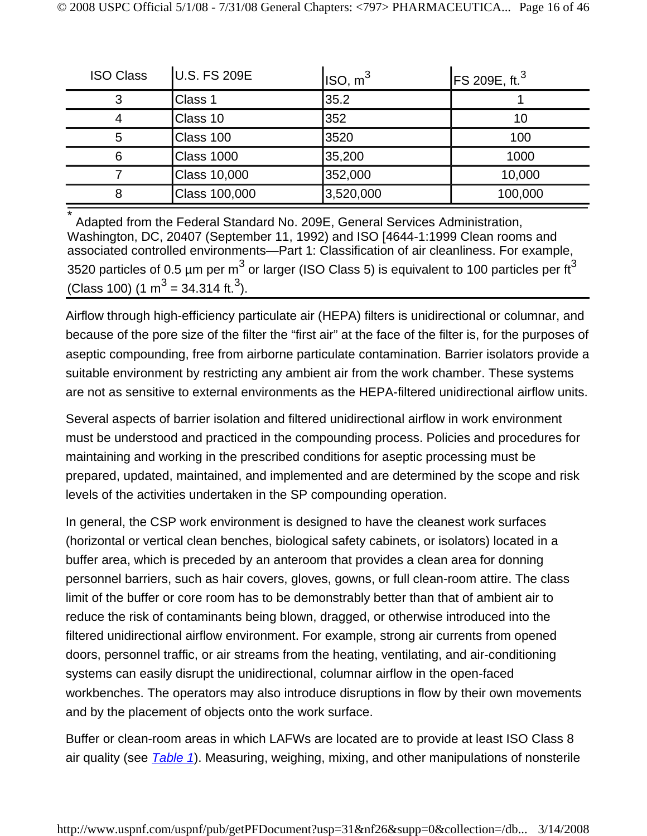| <b>ISO Class</b> | <b>U.S. FS 209E</b> | $\sqrt{\text{ISO}, \text{m}^3}$ | <b>FS</b> 209E, ft. <sup>3</sup> |
|------------------|---------------------|---------------------------------|----------------------------------|
|                  | Class 1             | 35.2                            |                                  |
|                  | Class 10            | 352                             | 10                               |
| 5                | Class 100           | 3520                            | 100                              |
| 6                | Class 1000          | 35,200                          | 1000                             |
|                  | Class 10,000        | 352,000                         | 10,000                           |
| 8                | Class 100,000       | 3,520,000                       | 100,000                          |

\* Adapted from the Federal Standard No. 209E, General Services Administration, Washington, DC, 20407 (September 11, 1992) and ISO [4644-1:1999 Clean rooms and associated controlled environments—Part 1: Classification of air cleanliness. For example, 3520 particles of 0.5 µm per m $^3$  or larger (ISO Class 5) is equivalent to 100 particles per ft $^3$ (Class 100) (1 m<sup>3</sup> = 34.314 ft.<sup>3</sup>).

Airflow through high-efficiency particulate air (HEPA) filters is unidirectional or columnar, and because of the pore size of the filter the "first air" at the face of the filter is, for the purposes of aseptic compounding, free from airborne particulate contamination. Barrier isolators provide a suitable environment by restricting any ambient air from the work chamber. These systems are not as sensitive to external environments as the HEPA-filtered unidirectional airflow units.

Several aspects of barrier isolation and filtered unidirectional airflow in work environment must be understood and practiced in the compounding process. Policies and procedures for maintaining and working in the prescribed conditions for aseptic processing must be prepared, updated, maintained, and implemented and are determined by the scope and risk levels of the activities undertaken in the SP compounding operation.

In general, the CSP work environment is designed to have the cleanest work surfaces (horizontal or vertical clean benches, biological safety cabinets, or isolators) located in a buffer area, which is preceded by an anteroom that provides a clean area for donning personnel barriers, such as hair covers, gloves, gowns, or full clean-room attire. The class limit of the buffer or core room has to be demonstrably better than that of ambient air to reduce the risk of contaminants being blown, dragged, or otherwise introduced into the filtered unidirectional airflow environment. For example, strong air currents from opened doors, personnel traffic, or air streams from the heating, ventilating, and air-conditioning systems can easily disrupt the unidirectional, columnar airflow in the open-faced workbenches. The operators may also introduce disruptions in flow by their own movements and by the placement of objects onto the work surface.

Buffer or clean-room areas in which LAFWs are located are to provide at least ISO Class 8 air quality (see *Table 1*). Measuring, weighing, mixing, and other manipulations of nonsterile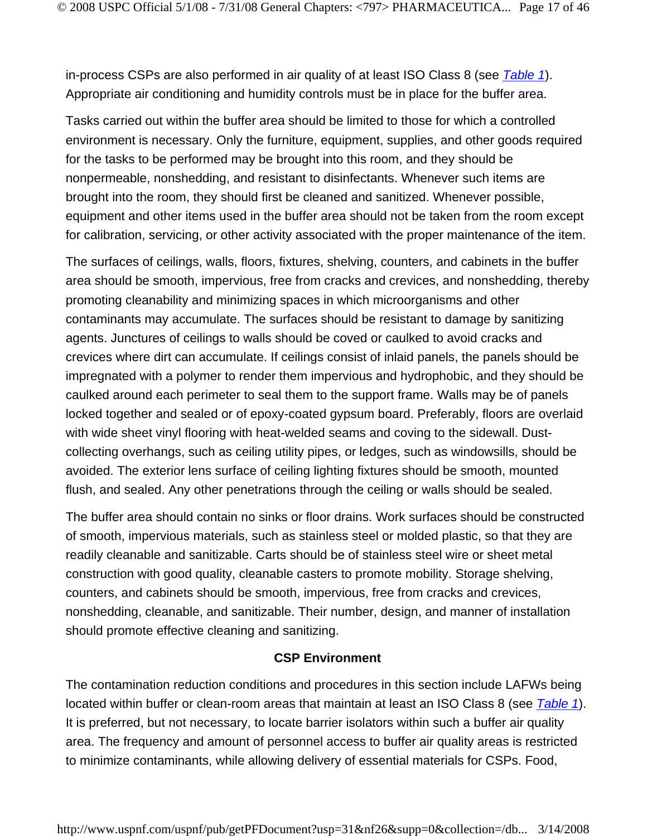in-process CSPs are also performed in air quality of at least ISO Class 8 (see *Table 1*). Appropriate air conditioning and humidity controls must be in place for the buffer area.

Tasks carried out within the buffer area should be limited to those for which a controlled environment is necessary. Only the furniture, equipment, supplies, and other goods required for the tasks to be performed may be brought into this room, and they should be nonpermeable, nonshedding, and resistant to disinfectants. Whenever such items are brought into the room, they should first be cleaned and sanitized. Whenever possible, equipment and other items used in the buffer area should not be taken from the room except for calibration, servicing, or other activity associated with the proper maintenance of the item.

The surfaces of ceilings, walls, floors, fixtures, shelving, counters, and cabinets in the buffer area should be smooth, impervious, free from cracks and crevices, and nonshedding, thereby promoting cleanability and minimizing spaces in which microorganisms and other contaminants may accumulate. The surfaces should be resistant to damage by sanitizing agents. Junctures of ceilings to walls should be coved or caulked to avoid cracks and crevices where dirt can accumulate. If ceilings consist of inlaid panels, the panels should be impregnated with a polymer to render them impervious and hydrophobic, and they should be caulked around each perimeter to seal them to the support frame. Walls may be of panels locked together and sealed or of epoxy-coated gypsum board. Preferably, floors are overlaid with wide sheet vinyl flooring with heat-welded seams and coving to the sidewall. Dustcollecting overhangs, such as ceiling utility pipes, or ledges, such as windowsills, should be avoided. The exterior lens surface of ceiling lighting fixtures should be smooth, mounted flush, and sealed. Any other penetrations through the ceiling or walls should be sealed.

The buffer area should contain no sinks or floor drains. Work surfaces should be constructed of smooth, impervious materials, such as stainless steel or molded plastic, so that they are readily cleanable and sanitizable. Carts should be of stainless steel wire or sheet metal construction with good quality, cleanable casters to promote mobility. Storage shelving, counters, and cabinets should be smooth, impervious, free from cracks and crevices, nonshedding, cleanable, and sanitizable. Their number, design, and manner of installation should promote effective cleaning and sanitizing.

## **CSP Environment**

The contamination reduction conditions and procedures in this section include LAFWs being located within buffer or clean-room areas that maintain at least an ISO Class 8 (see *Table 1*). It is preferred, but not necessary, to locate barrier isolators within such a buffer air quality area. The frequency and amount of personnel access to buffer air quality areas is restricted to minimize contaminants, while allowing delivery of essential materials for CSPs. Food,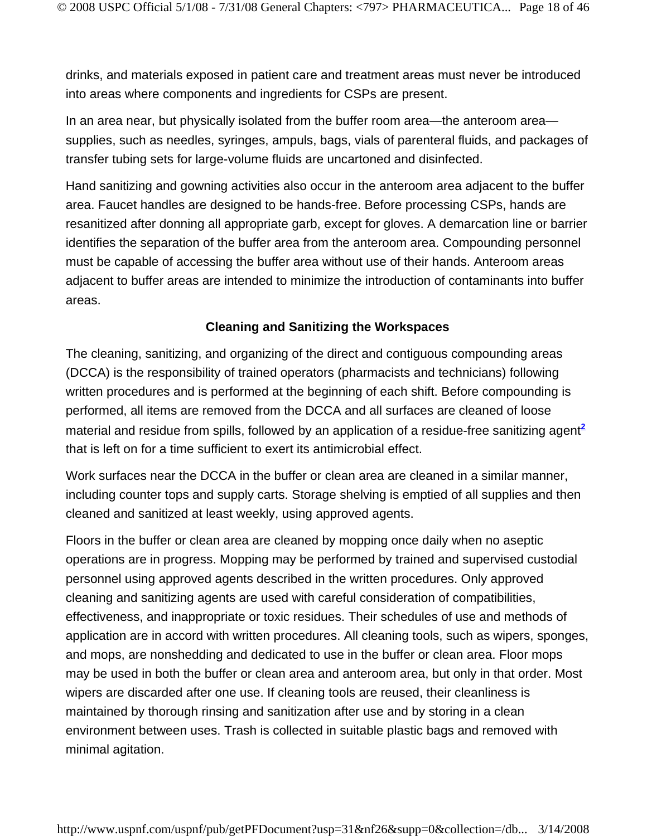drinks, and materials exposed in patient care and treatment areas must never be introduced into areas where components and ingredients for CSPs are present.

In an area near, but physically isolated from the buffer room area—the anteroom area supplies, such as needles, syringes, ampuls, bags, vials of parenteral fluids, and packages of transfer tubing sets for large-volume fluids are uncartoned and disinfected.

Hand sanitizing and gowning activities also occur in the anteroom area adjacent to the buffer area. Faucet handles are designed to be hands-free. Before processing CSPs, hands are resanitized after donning all appropriate garb, except for gloves. A demarcation line or barrier identifies the separation of the buffer area from the anteroom area. Compounding personnel must be capable of accessing the buffer area without use of their hands. Anteroom areas adjacent to buffer areas are intended to minimize the introduction of contaminants into buffer areas.

## **Cleaning and Sanitizing the Workspaces**

The cleaning, sanitizing, and organizing of the direct and contiguous compounding areas (DCCA) is the responsibility of trained operators (pharmacists and technicians) following written procedures and is performed at the beginning of each shift. Before compounding is performed, all items are removed from the DCCA and all surfaces are cleaned of loose material and residue from spills, followed by an application of a residue-free sanitizing agent<sup>2</sup> that is left on for a time sufficient to exert its antimicrobial effect.

Work surfaces near the DCCA in the buffer or clean area are cleaned in a similar manner, including counter tops and supply carts. Storage shelving is emptied of all supplies and then cleaned and sanitized at least weekly, using approved agents.

Floors in the buffer or clean area are cleaned by mopping once daily when no aseptic operations are in progress. Mopping may be performed by trained and supervised custodial personnel using approved agents described in the written procedures. Only approved cleaning and sanitizing agents are used with careful consideration of compatibilities, effectiveness, and inappropriate or toxic residues. Their schedules of use and methods of application are in accord with written procedures. All cleaning tools, such as wipers, sponges, and mops, are nonshedding and dedicated to use in the buffer or clean area. Floor mops may be used in both the buffer or clean area and anteroom area, but only in that order. Most wipers are discarded after one use. If cleaning tools are reused, their cleanliness is maintained by thorough rinsing and sanitization after use and by storing in a clean environment between uses. Trash is collected in suitable plastic bags and removed with minimal agitation.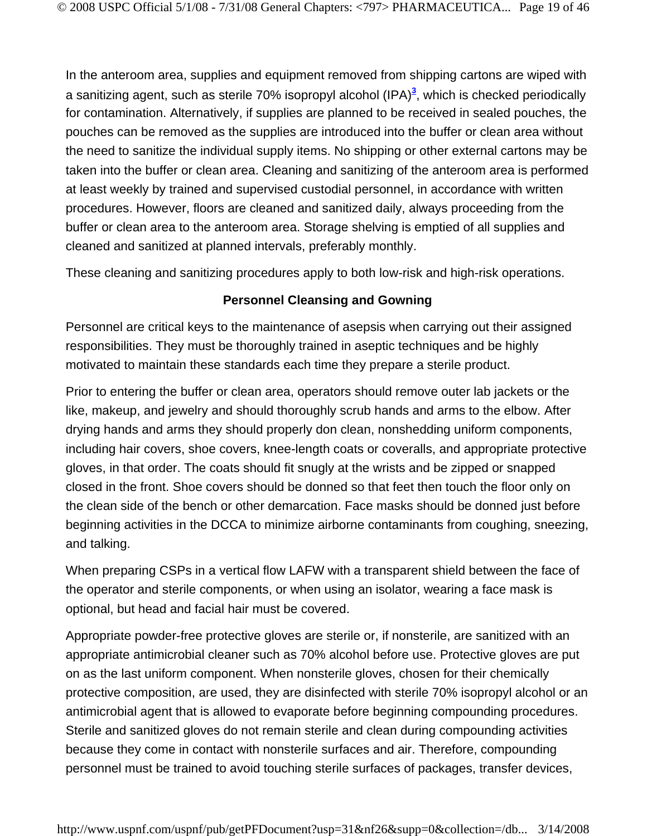In the anteroom area, supplies and equipment removed from shipping cartons are wiped with a sanitizing agent, such as sterile 70% isopropyl alcohol (IPA)**<sup>3</sup>** , which is checked periodically for contamination. Alternatively, if supplies are planned to be received in sealed pouches, the pouches can be removed as the supplies are introduced into the buffer or clean area without the need to sanitize the individual supply items. No shipping or other external cartons may be taken into the buffer or clean area. Cleaning and sanitizing of the anteroom area is performed at least weekly by trained and supervised custodial personnel, in accordance with written procedures. However, floors are cleaned and sanitized daily, always proceeding from the buffer or clean area to the anteroom area. Storage shelving is emptied of all supplies and cleaned and sanitized at planned intervals, preferably monthly.

These cleaning and sanitizing procedures apply to both low-risk and high-risk operations.

## **Personnel Cleansing and Gowning**

Personnel are critical keys to the maintenance of asepsis when carrying out their assigned responsibilities. They must be thoroughly trained in aseptic techniques and be highly motivated to maintain these standards each time they prepare a sterile product.

Prior to entering the buffer or clean area, operators should remove outer lab jackets or the like, makeup, and jewelry and should thoroughly scrub hands and arms to the elbow. After drying hands and arms they should properly don clean, nonshedding uniform components, including hair covers, shoe covers, knee-length coats or coveralls, and appropriate protective gloves, in that order. The coats should fit snugly at the wrists and be zipped or snapped closed in the front. Shoe covers should be donned so that feet then touch the floor only on the clean side of the bench or other demarcation. Face masks should be donned just before beginning activities in the DCCA to minimize airborne contaminants from coughing, sneezing, and talking.

When preparing CSPs in a vertical flow LAFW with a transparent shield between the face of the operator and sterile components, or when using an isolator, wearing a face mask is optional, but head and facial hair must be covered.

Appropriate powder-free protective gloves are sterile or, if nonsterile, are sanitized with an appropriate antimicrobial cleaner such as 70% alcohol before use. Protective gloves are put on as the last uniform component. When nonsterile gloves, chosen for their chemically protective composition, are used, they are disinfected with sterile 70% isopropyl alcohol or an antimicrobial agent that is allowed to evaporate before beginning compounding procedures. Sterile and sanitized gloves do not remain sterile and clean during compounding activities because they come in contact with nonsterile surfaces and air. Therefore, compounding personnel must be trained to avoid touching sterile surfaces of packages, transfer devices,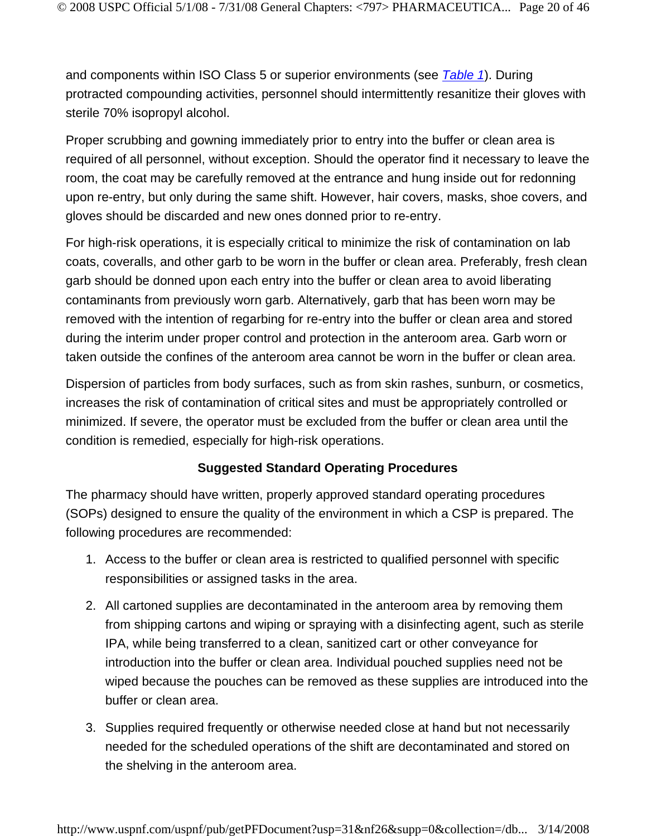and components within ISO Class 5 or superior environments (see *Table 1*). During protracted compounding activities, personnel should intermittently resanitize their gloves with sterile 70% isopropyl alcohol.

Proper scrubbing and gowning immediately prior to entry into the buffer or clean area is required of all personnel, without exception. Should the operator find it necessary to leave the room, the coat may be carefully removed at the entrance and hung inside out for redonning upon re-entry, but only during the same shift. However, hair covers, masks, shoe covers, and gloves should be discarded and new ones donned prior to re-entry.

For high-risk operations, it is especially critical to minimize the risk of contamination on lab coats, coveralls, and other garb to be worn in the buffer or clean area. Preferably, fresh clean garb should be donned upon each entry into the buffer or clean area to avoid liberating contaminants from previously worn garb. Alternatively, garb that has been worn may be removed with the intention of regarbing for re-entry into the buffer or clean area and stored during the interim under proper control and protection in the anteroom area. Garb worn or taken outside the confines of the anteroom area cannot be worn in the buffer or clean area.

Dispersion of particles from body surfaces, such as from skin rashes, sunburn, or cosmetics, increases the risk of contamination of critical sites and must be appropriately controlled or minimized. If severe, the operator must be excluded from the buffer or clean area until the condition is remedied, especially for high-risk operations.

## **Suggested Standard Operating Procedures**

The pharmacy should have written, properly approved standard operating procedures (SOPs) designed to ensure the quality of the environment in which a CSP is prepared. The following procedures are recommended:

- 1. Access to the buffer or clean area is restricted to qualified personnel with specific responsibilities or assigned tasks in the area.
- 2. All cartoned supplies are decontaminated in the anteroom area by removing them from shipping cartons and wiping or spraying with a disinfecting agent, such as sterile IPA, while being transferred to a clean, sanitized cart or other conveyance for introduction into the buffer or clean area. Individual pouched supplies need not be wiped because the pouches can be removed as these supplies are introduced into the buffer or clean area.
- 3. Supplies required frequently or otherwise needed close at hand but not necessarily needed for the scheduled operations of the shift are decontaminated and stored on the shelving in the anteroom area.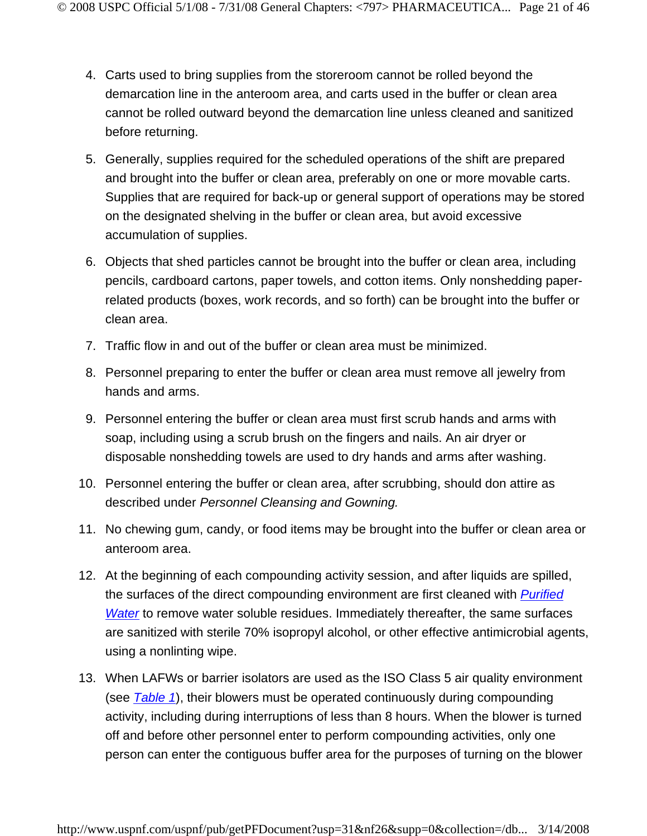- 4. Carts used to bring supplies from the storeroom cannot be rolled beyond the demarcation line in the anteroom area, and carts used in the buffer or clean area cannot be rolled outward beyond the demarcation line unless cleaned and sanitized before returning.
- 5. Generally, supplies required for the scheduled operations of the shift are prepared and brought into the buffer or clean area, preferably on one or more movable carts. Supplies that are required for back-up or general support of operations may be stored on the designated shelving in the buffer or clean area, but avoid excessive accumulation of supplies.
- 6. Objects that shed particles cannot be brought into the buffer or clean area, including pencils, cardboard cartons, paper towels, and cotton items. Only nonshedding paperrelated products (boxes, work records, and so forth) can be brought into the buffer or clean area.
- 7. Traffic flow in and out of the buffer or clean area must be minimized.
- 8. Personnel preparing to enter the buffer or clean area must remove all jewelry from hands and arms.
- 9. Personnel entering the buffer or clean area must first scrub hands and arms with soap, including using a scrub brush on the fingers and nails. An air dryer or disposable nonshedding towels are used to dry hands and arms after washing.
- 10. Personnel entering the buffer or clean area, after scrubbing, should don attire as described under *Personnel Cleansing and Gowning.*
- 11. No chewing gum, candy, or food items may be brought into the buffer or clean area or anteroom area.
- 12. At the beginning of each compounding activity session, and after liquids are spilled, the surfaces of the direct compounding environment are first cleaned with *Purified Water* to remove water soluble residues. Immediately thereafter, the same surfaces are sanitized with sterile 70% isopropyl alcohol, or other effective antimicrobial agents, using a nonlinting wipe.
- 13. When LAFWs or barrier isolators are used as the ISO Class 5 air quality environment (see *Table 1*), their blowers must be operated continuously during compounding activity, including during interruptions of less than 8 hours. When the blower is turned off and before other personnel enter to perform compounding activities, only one person can enter the contiguous buffer area for the purposes of turning on the blower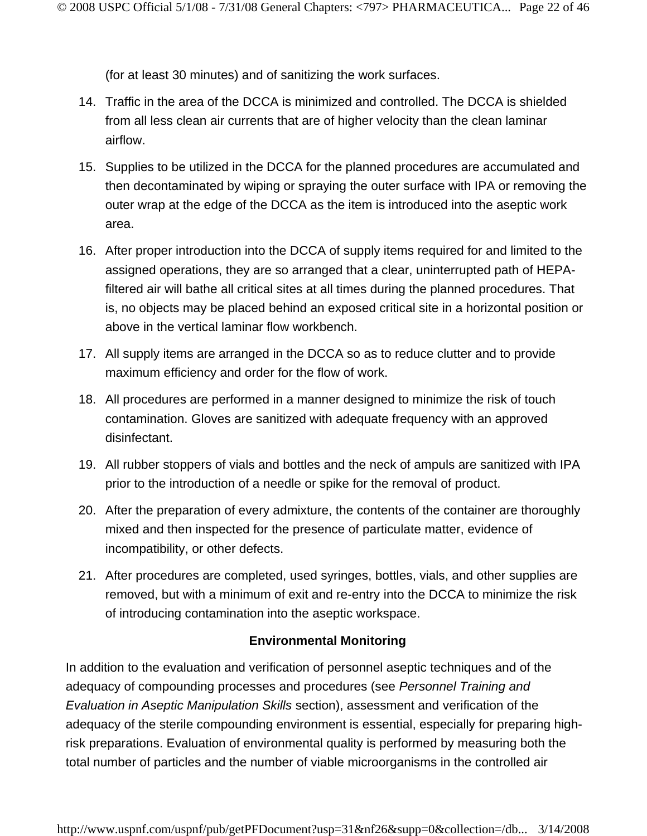(for at least 30 minutes) and of sanitizing the work surfaces.

- 14. Traffic in the area of the DCCA is minimized and controlled. The DCCA is shielded from all less clean air currents that are of higher velocity than the clean laminar airflow.
- 15. Supplies to be utilized in the DCCA for the planned procedures are accumulated and then decontaminated by wiping or spraying the outer surface with IPA or removing the outer wrap at the edge of the DCCA as the item is introduced into the aseptic work area.
- 16. After proper introduction into the DCCA of supply items required for and limited to the assigned operations, they are so arranged that a clear, uninterrupted path of HEPAfiltered air will bathe all critical sites at all times during the planned procedures. That is, no objects may be placed behind an exposed critical site in a horizontal position or above in the vertical laminar flow workbench.
- 17. All supply items are arranged in the DCCA so as to reduce clutter and to provide maximum efficiency and order for the flow of work.
- 18. All procedures are performed in a manner designed to minimize the risk of touch contamination. Gloves are sanitized with adequate frequency with an approved disinfectant.
- 19. All rubber stoppers of vials and bottles and the neck of ampuls are sanitized with IPA prior to the introduction of a needle or spike for the removal of product.
- 20. After the preparation of every admixture, the contents of the container are thoroughly mixed and then inspected for the presence of particulate matter, evidence of incompatibility, or other defects.
- 21. After procedures are completed, used syringes, bottles, vials, and other supplies are removed, but with a minimum of exit and re-entry into the DCCA to minimize the risk of introducing contamination into the aseptic workspace.

## **Environmental Monitoring**

In addition to the evaluation and verification of personnel aseptic techniques and of the adequacy of compounding processes and procedures (see *Personnel Training and Evaluation in Aseptic Manipulation Skills* section), assessment and verification of the adequacy of the sterile compounding environment is essential, especially for preparing highrisk preparations. Evaluation of environmental quality is performed by measuring both the total number of particles and the number of viable microorganisms in the controlled air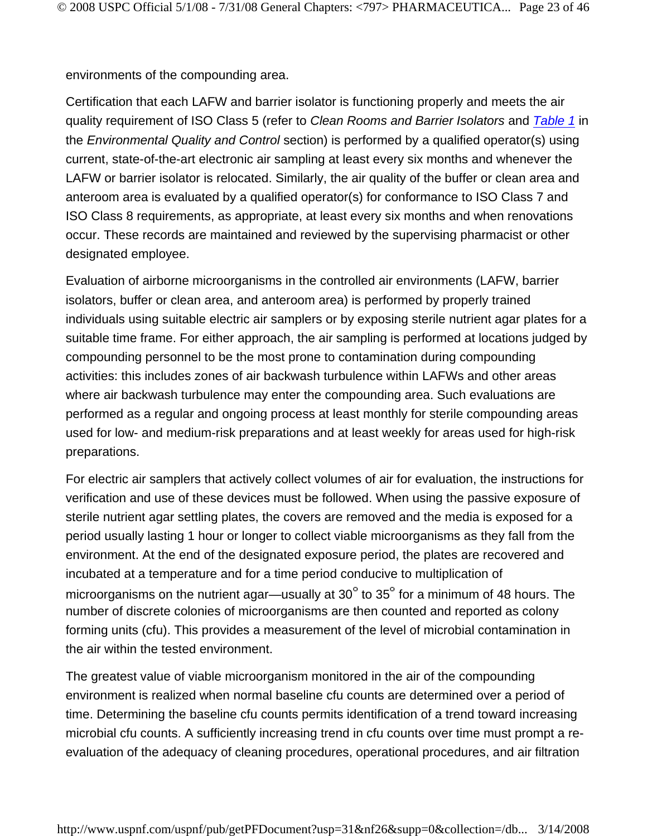environments of the compounding area.

Certification that each LAFW and barrier isolator is functioning properly and meets the air quality requirement of ISO Class 5 (refer to *Clean Rooms and Barrier Isolators* and *Table 1* in the *Environmental Quality and Control* section) is performed by a qualified operator(s) using current, state-of-the-art electronic air sampling at least every six months and whenever the LAFW or barrier isolator is relocated. Similarly, the air quality of the buffer or clean area and anteroom area is evaluated by a qualified operator(s) for conformance to ISO Class 7 and ISO Class 8 requirements, as appropriate, at least every six months and when renovations occur. These records are maintained and reviewed by the supervising pharmacist or other designated employee.

Evaluation of airborne microorganisms in the controlled air environments (LAFW, barrier isolators, buffer or clean area, and anteroom area) is performed by properly trained individuals using suitable electric air samplers or by exposing sterile nutrient agar plates for a suitable time frame. For either approach, the air sampling is performed at locations judged by compounding personnel to be the most prone to contamination during compounding activities: this includes zones of air backwash turbulence within LAFWs and other areas where air backwash turbulence may enter the compounding area. Such evaluations are performed as a regular and ongoing process at least monthly for sterile compounding areas used for low- and medium-risk preparations and at least weekly for areas used for high-risk preparations.

For electric air samplers that actively collect volumes of air for evaluation, the instructions for verification and use of these devices must be followed. When using the passive exposure of sterile nutrient agar settling plates, the covers are removed and the media is exposed for a period usually lasting 1 hour or longer to collect viable microorganisms as they fall from the environment. At the end of the designated exposure period, the plates are recovered and incubated at a temperature and for a time period conducive to multiplication of microorganisms on the nutrient agar—usually at  $30^\circ$  to  $35^\circ$  for a minimum of 48 hours. The number of discrete colonies of microorganisms are then counted and reported as colony forming units (cfu). This provides a measurement of the level of microbial contamination in the air within the tested environment.

The greatest value of viable microorganism monitored in the air of the compounding environment is realized when normal baseline cfu counts are determined over a period of time. Determining the baseline cfu counts permits identification of a trend toward increasing microbial cfu counts. A sufficiently increasing trend in cfu counts over time must prompt a reevaluation of the adequacy of cleaning procedures, operational procedures, and air filtration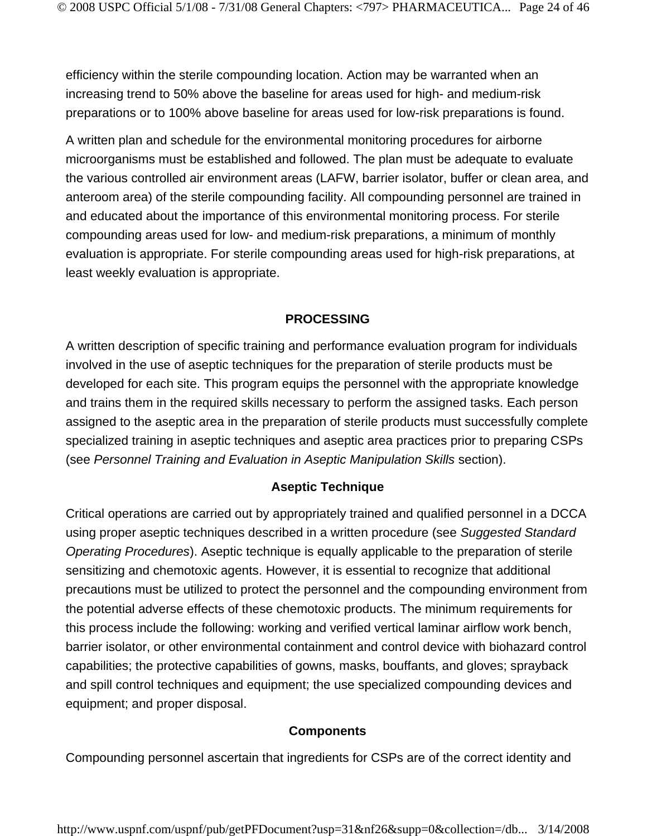efficiency within the sterile compounding location. Action may be warranted when an increasing trend to 50% above the baseline for areas used for high- and medium-risk preparations or to 100% above baseline for areas used for low-risk preparations is found.

A written plan and schedule for the environmental monitoring procedures for airborne microorganisms must be established and followed. The plan must be adequate to evaluate the various controlled air environment areas (LAFW, barrier isolator, buffer or clean area, and anteroom area) of the sterile compounding facility. All compounding personnel are trained in and educated about the importance of this environmental monitoring process. For sterile compounding areas used for low- and medium-risk preparations, a minimum of monthly evaluation is appropriate. For sterile compounding areas used for high-risk preparations, at least weekly evaluation is appropriate.

#### **PROCESSING**

A written description of specific training and performance evaluation program for individuals involved in the use of aseptic techniques for the preparation of sterile products must be developed for each site. This program equips the personnel with the appropriate knowledge and trains them in the required skills necessary to perform the assigned tasks. Each person assigned to the aseptic area in the preparation of sterile products must successfully complete specialized training in aseptic techniques and aseptic area practices prior to preparing CSPs (see *Personnel Training and Evaluation in Aseptic Manipulation Skills* section).

## **Aseptic Technique**

Critical operations are carried out by appropriately trained and qualified personnel in a DCCA using proper aseptic techniques described in a written procedure (see *Suggested Standard Operating Procedures*). Aseptic technique is equally applicable to the preparation of sterile sensitizing and chemotoxic agents. However, it is essential to recognize that additional precautions must be utilized to protect the personnel and the compounding environment from the potential adverse effects of these chemotoxic products. The minimum requirements for this process include the following: working and verified vertical laminar airflow work bench, barrier isolator, or other environmental containment and control device with biohazard control capabilities; the protective capabilities of gowns, masks, bouffants, and gloves; sprayback and spill control techniques and equipment; the use specialized compounding devices and equipment; and proper disposal.

#### **Components**

Compounding personnel ascertain that ingredients for CSPs are of the correct identity and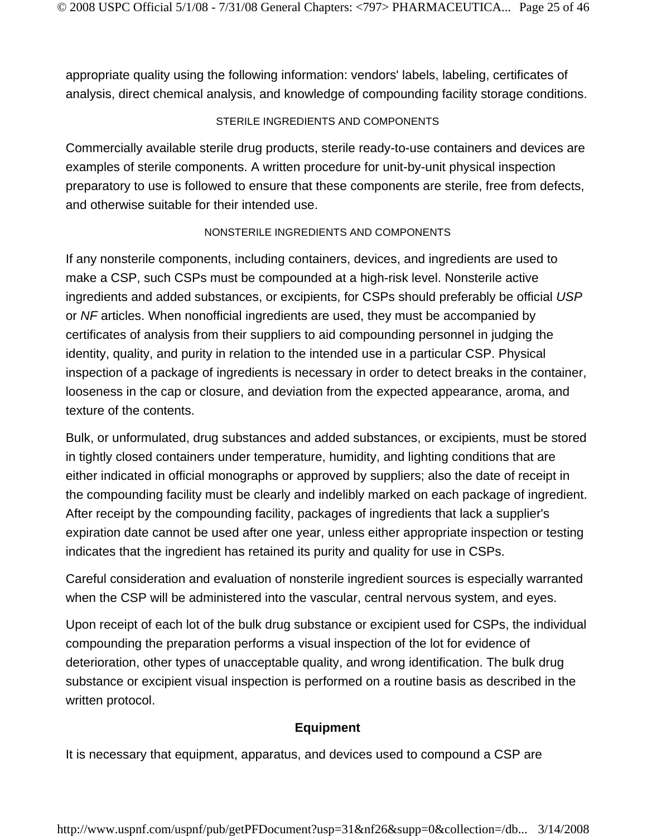appropriate quality using the following information: vendors' labels, labeling, certificates of analysis, direct chemical analysis, and knowledge of compounding facility storage conditions.

#### STERILE INGREDIENTS AND COMPONENTS

Commercially available sterile drug products, sterile ready-to-use containers and devices are examples of sterile components. A written procedure for unit-by-unit physical inspection preparatory to use is followed to ensure that these components are sterile, free from defects, and otherwise suitable for their intended use.

## NONSTERILE INGREDIENTS AND COMPONENTS

If any nonsterile components, including containers, devices, and ingredients are used to make a CSP, such CSPs must be compounded at a high-risk level. Nonsterile active ingredients and added substances, or excipients, for CSPs should preferably be official *USP* or *NF* articles. When nonofficial ingredients are used, they must be accompanied by certificates of analysis from their suppliers to aid compounding personnel in judging the identity, quality, and purity in relation to the intended use in a particular CSP. Physical inspection of a package of ingredients is necessary in order to detect breaks in the container, looseness in the cap or closure, and deviation from the expected appearance, aroma, and texture of the contents.

Bulk, or unformulated, drug substances and added substances, or excipients, must be stored in tightly closed containers under temperature, humidity, and lighting conditions that are either indicated in official monographs or approved by suppliers; also the date of receipt in the compounding facility must be clearly and indelibly marked on each package of ingredient. After receipt by the compounding facility, packages of ingredients that lack a supplier's expiration date cannot be used after one year, unless either appropriate inspection or testing indicates that the ingredient has retained its purity and quality for use in CSPs.

Careful consideration and evaluation of nonsterile ingredient sources is especially warranted when the CSP will be administered into the vascular, central nervous system, and eyes.

Upon receipt of each lot of the bulk drug substance or excipient used for CSPs, the individual compounding the preparation performs a visual inspection of the lot for evidence of deterioration, other types of unacceptable quality, and wrong identification. The bulk drug substance or excipient visual inspection is performed on a routine basis as described in the written protocol.

## **Equipment**

It is necessary that equipment, apparatus, and devices used to compound a CSP are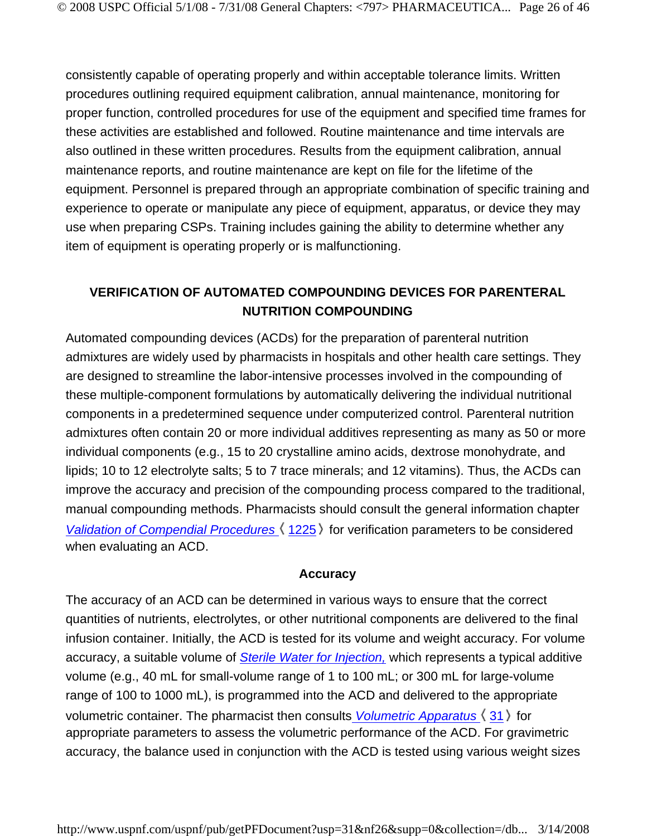consistently capable of operating properly and within acceptable tolerance limits. Written procedures outlining required equipment calibration, annual maintenance, monitoring for proper function, controlled procedures for use of the equipment and specified time frames for these activities are established and followed. Routine maintenance and time intervals are also outlined in these written procedures. Results from the equipment calibration, annual maintenance reports, and routine maintenance are kept on file for the lifetime of the equipment. Personnel is prepared through an appropriate combination of specific training and experience to operate or manipulate any piece of equipment, apparatus, or device they may use when preparing CSPs. Training includes gaining the ability to determine whether any item of equipment is operating properly or is malfunctioning.

## **VERIFICATION OF AUTOMATED COMPOUNDING DEVICES FOR PARENTERAL NUTRITION COMPOUNDING**

Automated compounding devices (ACDs) for the preparation of parenteral nutrition admixtures are widely used by pharmacists in hospitals and other health care settings. They are designed to streamline the labor-intensive processes involved in the compounding of these multiple-component formulations by automatically delivering the individual nutritional components in a predetermined sequence under computerized control. Parenteral nutrition admixtures often contain 20 or more individual additives representing as many as 50 or more individual components (e.g., 15 to 20 crystalline amino acids, dextrose monohydrate, and lipids; 10 to 12 electrolyte salts; 5 to 7 trace minerals; and 12 vitamins). Thus, the ACDs can improve the accuracy and precision of the compounding process compared to the traditional, manual compounding methods. Pharmacists should consult the general information chapter *Validation of Compendial Procedures* (1225) for verification parameters to be considered when evaluating an ACD.

#### **Accuracy**

The accuracy of an ACD can be determined in various ways to ensure that the correct quantities of nutrients, electrolytes, or other nutritional components are delivered to the final infusion container. Initially, the ACD is tested for its volume and weight accuracy. For volume accuracy, a suitable volume of *Sterile Water for Injection,* which represents a typical additive volume (e.g., 40 mL for small-volume range of 1 to 100 mL; or 300 mL for large-volume range of 100 to 1000 mL), is programmed into the ACD and delivered to the appropriate volumetric container. The pharmacist then consults *Volumetric Apparatus* 31 for appropriate parameters to assess the volumetric performance of the ACD. For gravimetric accuracy, the balance used in conjunction with the ACD is tested using various weight sizes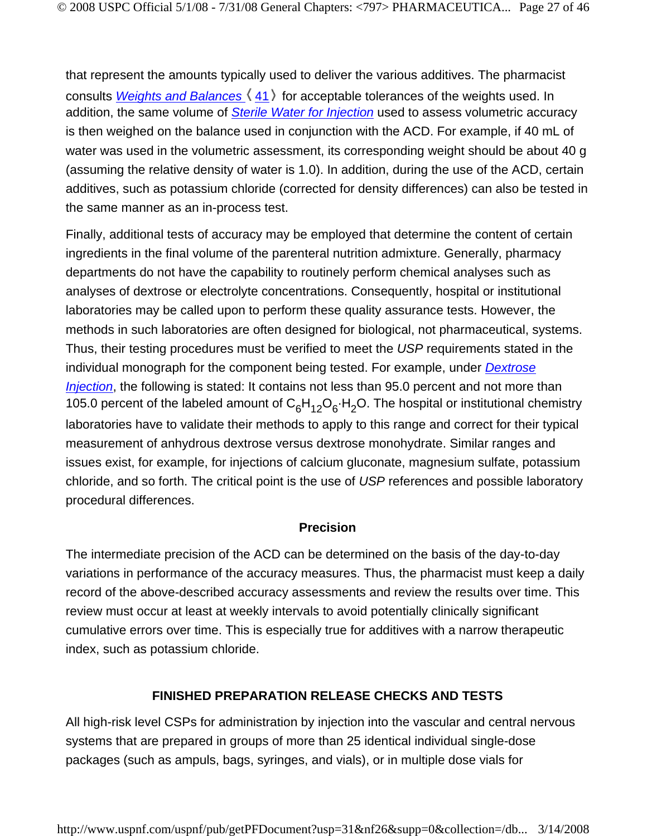that represent the amounts typically used to deliver the various additives. The pharmacist consults *Weights and Balances*  $\langle 41 \rangle$  for acceptable tolerances of the weights used. In addition, the same volume of *Sterile Water for Injection* used to assess volumetric accuracy is then weighed on the balance used in conjunction with the ACD. For example, if 40 mL of water was used in the volumetric assessment, its corresponding weight should be about 40 g (assuming the relative density of water is 1.0). In addition, during the use of the ACD, certain additives, such as potassium chloride (corrected for density differences) can also be tested in the same manner as an in-process test.

Finally, additional tests of accuracy may be employed that determine the content of certain ingredients in the final volume of the parenteral nutrition admixture. Generally, pharmacy departments do not have the capability to routinely perform chemical analyses such as analyses of dextrose or electrolyte concentrations. Consequently, hospital or institutional laboratories may be called upon to perform these quality assurance tests. However, the methods in such laboratories are often designed for biological, not pharmaceutical, systems. Thus, their testing procedures must be verified to meet the *USP* requirements stated in the individual monograph for the component being tested. For example, under *Dextrose Injection*, the following is stated: It contains not less than 95.0 percent and not more than 105.0 percent of the labeled amount of  $C_6H_{12}O_6\cdot H_2O$ . The hospital or institutional chemistry laboratories have to validate their methods to apply to this range and correct for their typical measurement of anhydrous dextrose versus dextrose monohydrate. Similar ranges and issues exist, for example, for injections of calcium gluconate, magnesium sulfate, potassium chloride, and so forth. The critical point is the use of *USP* references and possible laboratory procedural differences.

#### **Precision**

The intermediate precision of the ACD can be determined on the basis of the day-to-day variations in performance of the accuracy measures. Thus, the pharmacist must keep a daily record of the above-described accuracy assessments and review the results over time. This review must occur at least at weekly intervals to avoid potentially clinically significant cumulative errors over time. This is especially true for additives with a narrow therapeutic index, such as potassium chloride.

## **FINISHED PREPARATION RELEASE CHECKS AND TESTS**

All high-risk level CSPs for administration by injection into the vascular and central nervous systems that are prepared in groups of more than 25 identical individual single-dose packages (such as ampuls, bags, syringes, and vials), or in multiple dose vials for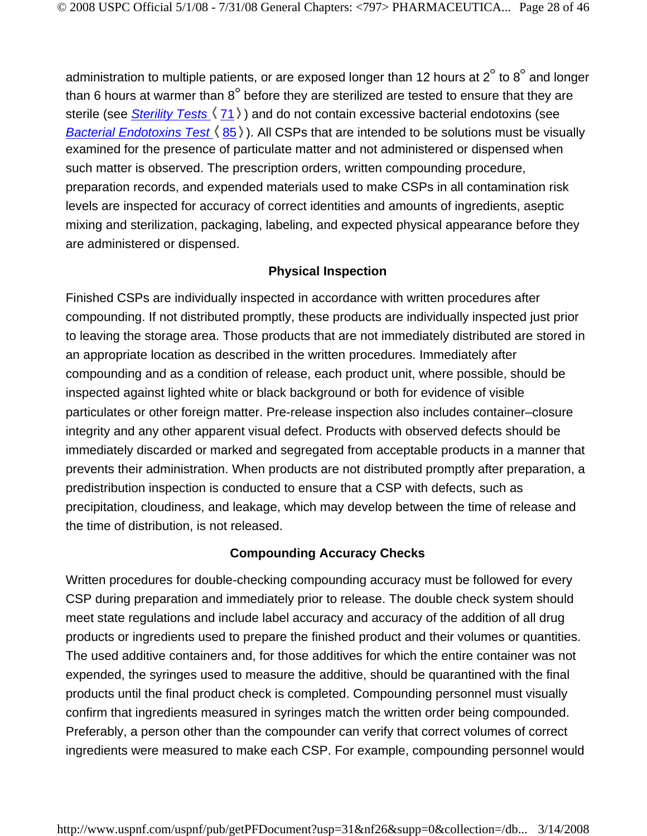administration to multiple patients, or are exposed longer than 12 hours at  $2^\circ$  to  $8^\circ$  and longer than 6 hours at warmer than  $8^\circ$  before they are sterilized are tested to ensure that they are sterile (see *Sterility Tests*  $(71)$ ) and do not contain excessive bacterial endotoxins (see *Bacterial Endotoxins Test* (85). All CSPs that are intended to be solutions must be visually examined for the presence of particulate matter and not administered or dispensed when such matter is observed. The prescription orders, written compounding procedure, preparation records, and expended materials used to make CSPs in all contamination risk levels are inspected for accuracy of correct identities and amounts of ingredients, aseptic mixing and sterilization, packaging, labeling, and expected physical appearance before they are administered or dispensed.

#### **Physical Inspection**

Finished CSPs are individually inspected in accordance with written procedures after compounding. If not distributed promptly, these products are individually inspected just prior to leaving the storage area. Those products that are not immediately distributed are stored in an appropriate location as described in the written procedures. Immediately after compounding and as a condition of release, each product unit, where possible, should be inspected against lighted white or black background or both for evidence of visible particulates or other foreign matter. Pre-release inspection also includes container–closure integrity and any other apparent visual defect. Products with observed defects should be immediately discarded or marked and segregated from acceptable products in a manner that prevents their administration. When products are not distributed promptly after preparation, a predistribution inspection is conducted to ensure that a CSP with defects, such as precipitation, cloudiness, and leakage, which may develop between the time of release and the time of distribution, is not released.

## **Compounding Accuracy Checks**

Written procedures for double-checking compounding accuracy must be followed for every CSP during preparation and immediately prior to release. The double check system should meet state regulations and include label accuracy and accuracy of the addition of all drug products or ingredients used to prepare the finished product and their volumes or quantities. The used additive containers and, for those additives for which the entire container was not expended, the syringes used to measure the additive, should be quarantined with the final products until the final product check is completed. Compounding personnel must visually confirm that ingredients measured in syringes match the written order being compounded. Preferably, a person other than the compounder can verify that correct volumes of correct ingredients were measured to make each CSP. For example, compounding personnel would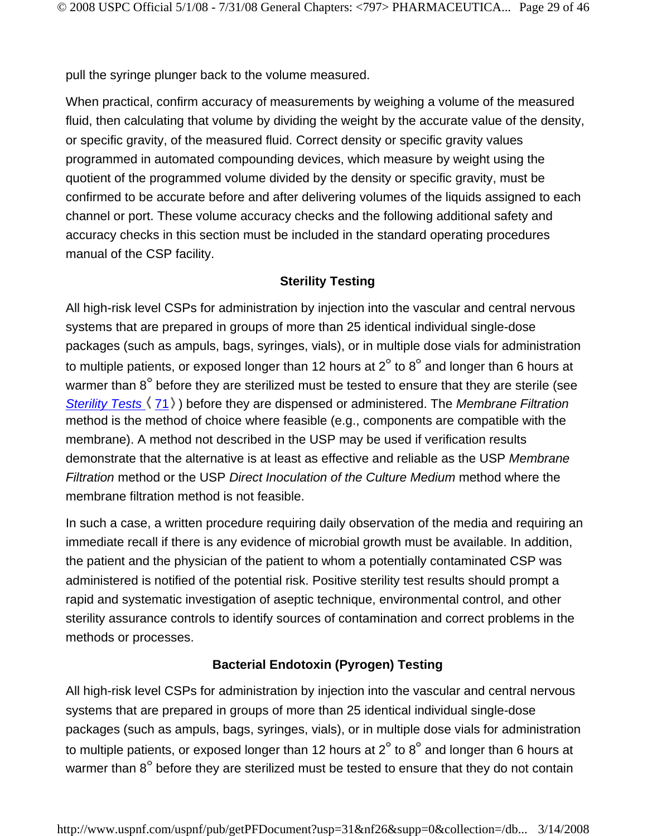pull the syringe plunger back to the volume measured.

When practical, confirm accuracy of measurements by weighing a volume of the measured fluid, then calculating that volume by dividing the weight by the accurate value of the density, or specific gravity, of the measured fluid. Correct density or specific gravity values programmed in automated compounding devices, which measure by weight using the quotient of the programmed volume divided by the density or specific gravity, must be confirmed to be accurate before and after delivering volumes of the liquids assigned to each channel or port. These volume accuracy checks and the following additional safety and accuracy checks in this section must be included in the standard operating procedures manual of the CSP facility.

## **Sterility Testing**

All high-risk level CSPs for administration by injection into the vascular and central nervous systems that are prepared in groups of more than 25 identical individual single-dose packages (such as ampuls, bags, syringes, vials), or in multiple dose vials for administration to multiple patients, or exposed longer than 12 hours at  $2^\circ$  to  $8^\circ$  and longer than 6 hours at warmer than 8° before they are sterilized must be tested to ensure that they are sterile (see *Sterility Tests* 71 ) before they are dispensed or administered. The *Membrane Filtration* method is the method of choice where feasible (e.g., components are compatible with the membrane). A method not described in the USP may be used if verification results demonstrate that the alternative is at least as effective and reliable as the USP *Membrane Filtration* method or the USP *Direct Inoculation of the Culture Medium* method where the membrane filtration method is not feasible.

In such a case, a written procedure requiring daily observation of the media and requiring an immediate recall if there is any evidence of microbial growth must be available. In addition, the patient and the physician of the patient to whom a potentially contaminated CSP was administered is notified of the potential risk. Positive sterility test results should prompt a rapid and systematic investigation of aseptic technique, environmental control, and other sterility assurance controls to identify sources of contamination and correct problems in the methods or processes.

## **Bacterial Endotoxin (Pyrogen) Testing**

All high-risk level CSPs for administration by injection into the vascular and central nervous systems that are prepared in groups of more than 25 identical individual single-dose packages (such as ampuls, bags, syringes, vials), or in multiple dose vials for administration to multiple patients, or exposed longer than 12 hours at  $2^\circ$  to  $8^\circ$  and longer than 6 hours at warmer than  $8^\circ$  before they are sterilized must be tested to ensure that they do not contain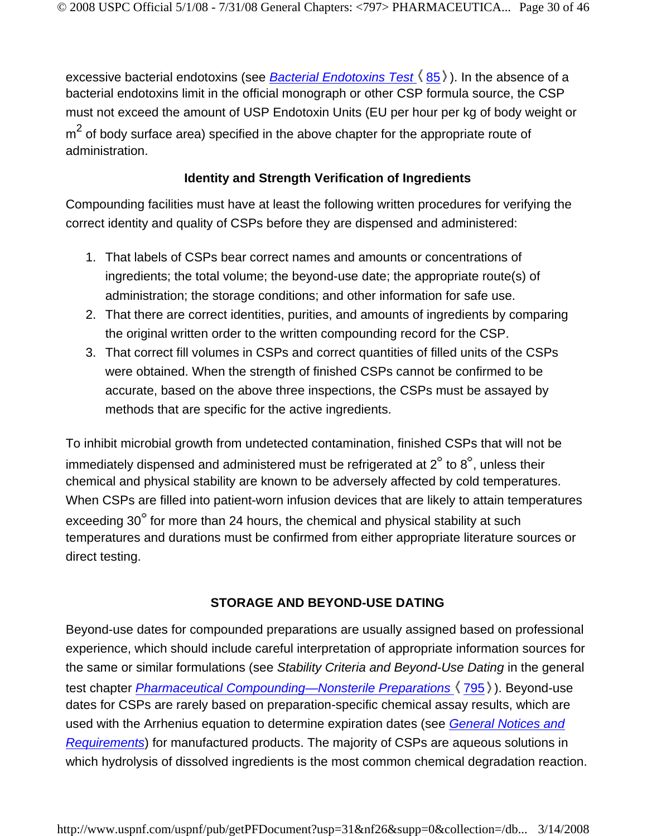excessive bacterial endotoxins (see *Bacterial Endotoxins Test* (85)). In the absence of a bacterial endotoxins limit in the official monograph or other CSP formula source, the CSP must not exceed the amount of USP Endotoxin Units (EU per hour per kg of body weight or  $m<sup>2</sup>$  of body surface area) specified in the above chapter for the appropriate route of administration.

#### **Identity and Strength Verification of Ingredients**

Compounding facilities must have at least the following written procedures for verifying the correct identity and quality of CSPs before they are dispensed and administered:

- 1. That labels of CSPs bear correct names and amounts or concentrations of ingredients; the total volume; the beyond-use date; the appropriate route(s) of administration; the storage conditions; and other information for safe use.
- 2. That there are correct identities, purities, and amounts of ingredients by comparing the original written order to the written compounding record for the CSP.
- 3. That correct fill volumes in CSPs and correct quantities of filled units of the CSPs were obtained. When the strength of finished CSPs cannot be confirmed to be accurate, based on the above three inspections, the CSPs must be assayed by methods that are specific for the active ingredients.

To inhibit microbial growth from undetected contamination, finished CSPs that will not be immediately dispensed and administered must be refrigerated at  $2^\circ$  to  $8^\circ$ , unless their chemical and physical stability are known to be adversely affected by cold temperatures. When CSPs are filled into patient-worn infusion devices that are likely to attain temperatures exceeding 30° for more than 24 hours, the chemical and physical stability at such temperatures and durations must be confirmed from either appropriate literature sources or direct testing.

## **STORAGE AND BEYOND-USE DATING**

Beyond-use dates for compounded preparations are usually assigned based on professional experience, which should include careful interpretation of appropriate information sources for the same or similar formulations (see *Stability Criteria and Beyond-Use Dating* in the general test chapter *Pharmaceutical Compounding—Nonsterile Preparations* 795 ). Beyond-use dates for CSPs are rarely based on preparation-specific chemical assay results, which are used with the Arrhenius equation to determine expiration dates (see *General Notices and Requirements*) for manufactured products. The majority of CSPs are aqueous solutions in which hydrolysis of dissolved ingredients is the most common chemical degradation reaction.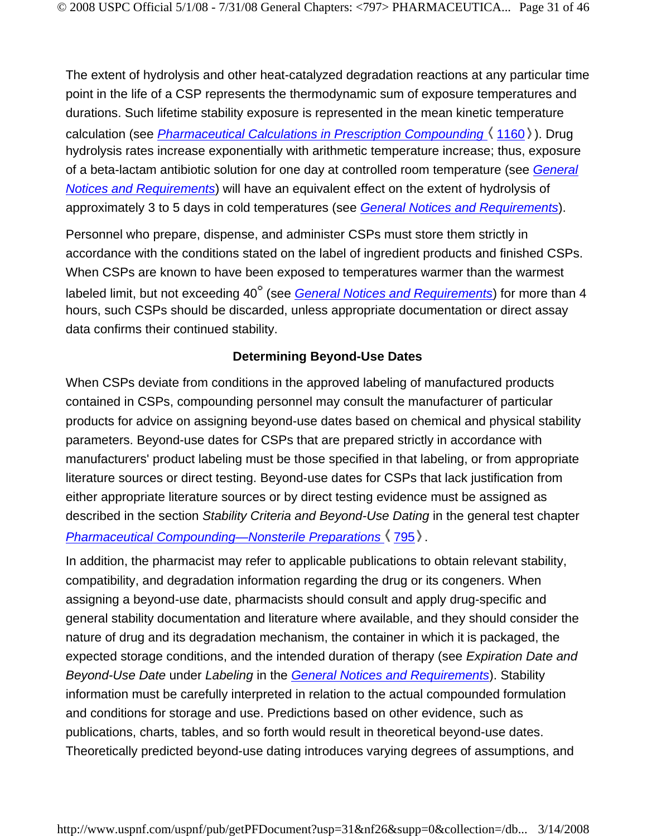The extent of hydrolysis and other heat-catalyzed degradation reactions at any particular time point in the life of a CSP represents the thermodynamic sum of exposure temperatures and durations. Such lifetime stability exposure is represented in the mean kinetic temperature calculation (see *Pharmaceutical Calculations in Prescription Compounding* 1160 ). Drug hydrolysis rates increase exponentially with arithmetic temperature increase; thus, exposure of a beta-lactam antibiotic solution for one day at controlled room temperature (see *General Notices and Requirements*) will have an equivalent effect on the extent of hydrolysis of approximately 3 to 5 days in cold temperatures (see *General Notices and Requirements*).

Personnel who prepare, dispense, and administer CSPs must store them strictly in accordance with the conditions stated on the label of ingredient products and finished CSPs. When CSPs are known to have been exposed to temperatures warmer than the warmest labeled limit, but not exceeding 40° (see *General Notices and Requirements*) for more than 4 hours, such CSPs should be discarded, unless appropriate documentation or direct assay data confirms their continued stability.

## **Determining Beyond-Use Dates**

When CSPs deviate from conditions in the approved labeling of manufactured products contained in CSPs, compounding personnel may consult the manufacturer of particular products for advice on assigning beyond-use dates based on chemical and physical stability parameters. Beyond-use dates for CSPs that are prepared strictly in accordance with manufacturers' product labeling must be those specified in that labeling, or from appropriate literature sources or direct testing. Beyond-use dates for CSPs that lack justification from either appropriate literature sources or by direct testing evidence must be assigned as described in the section *Stability Criteria and Beyond-Use Dating* in the general test chapter **Pharmaceutical Compounding—Nonsterile Preparations (795).** 

In addition, the pharmacist may refer to applicable publications to obtain relevant stability, compatibility, and degradation information regarding the drug or its congeners. When assigning a beyond-use date, pharmacists should consult and apply drug-specific and general stability documentation and literature where available, and they should consider the nature of drug and its degradation mechanism, the container in which it is packaged, the expected storage conditions, and the intended duration of therapy (see *Expiration Date and Beyond-Use Date* under *Labeling* in the *General Notices and Requirements*). Stability information must be carefully interpreted in relation to the actual compounded formulation and conditions for storage and use. Predictions based on other evidence, such as publications, charts, tables, and so forth would result in theoretical beyond-use dates. Theoretically predicted beyond-use dating introduces varying degrees of assumptions, and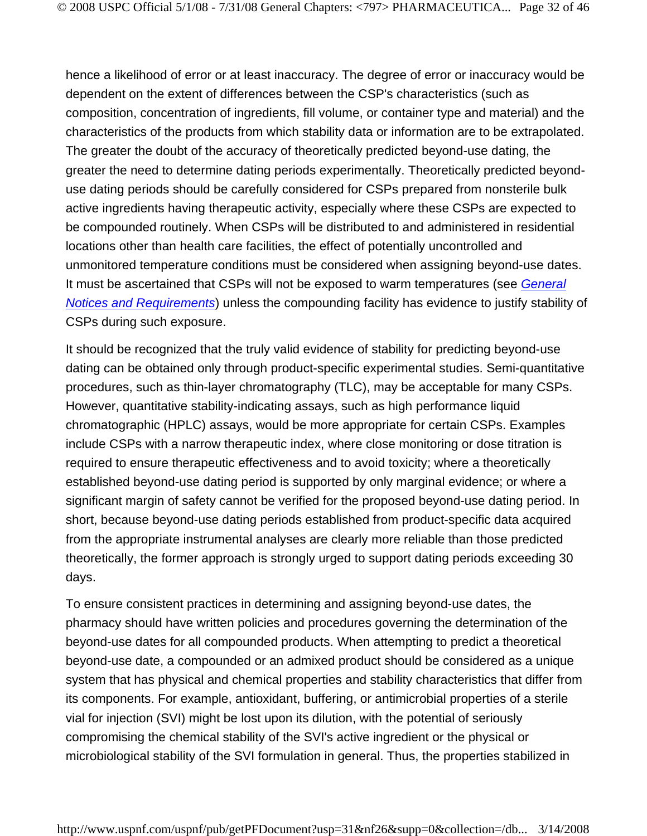hence a likelihood of error or at least inaccuracy. The degree of error or inaccuracy would be dependent on the extent of differences between the CSP's characteristics (such as composition, concentration of ingredients, fill volume, or container type and material) and the characteristics of the products from which stability data or information are to be extrapolated. The greater the doubt of the accuracy of theoretically predicted beyond-use dating, the greater the need to determine dating periods experimentally. Theoretically predicted beyonduse dating periods should be carefully considered for CSPs prepared from nonsterile bulk active ingredients having therapeutic activity, especially where these CSPs are expected to be compounded routinely. When CSPs will be distributed to and administered in residential locations other than health care facilities, the effect of potentially uncontrolled and unmonitored temperature conditions must be considered when assigning beyond-use dates. It must be ascertained that CSPs will not be exposed to warm temperatures (see *General Notices and Requirements*) unless the compounding facility has evidence to justify stability of CSPs during such exposure.

It should be recognized that the truly valid evidence of stability for predicting beyond-use dating can be obtained only through product-specific experimental studies. Semi-quantitative procedures, such as thin-layer chromatography (TLC), may be acceptable for many CSPs. However, quantitative stability-indicating assays, such as high performance liquid chromatographic (HPLC) assays, would be more appropriate for certain CSPs. Examples include CSPs with a narrow therapeutic index, where close monitoring or dose titration is required to ensure therapeutic effectiveness and to avoid toxicity; where a theoretically established beyond-use dating period is supported by only marginal evidence; or where a significant margin of safety cannot be verified for the proposed beyond-use dating period. In short, because beyond-use dating periods established from product-specific data acquired from the appropriate instrumental analyses are clearly more reliable than those predicted theoretically, the former approach is strongly urged to support dating periods exceeding 30 days.

To ensure consistent practices in determining and assigning beyond-use dates, the pharmacy should have written policies and procedures governing the determination of the beyond-use dates for all compounded products. When attempting to predict a theoretical beyond-use date, a compounded or an admixed product should be considered as a unique system that has physical and chemical properties and stability characteristics that differ from its components. For example, antioxidant, buffering, or antimicrobial properties of a sterile vial for injection (SVI) might be lost upon its dilution, with the potential of seriously compromising the chemical stability of the SVI's active ingredient or the physical or microbiological stability of the SVI formulation in general. Thus, the properties stabilized in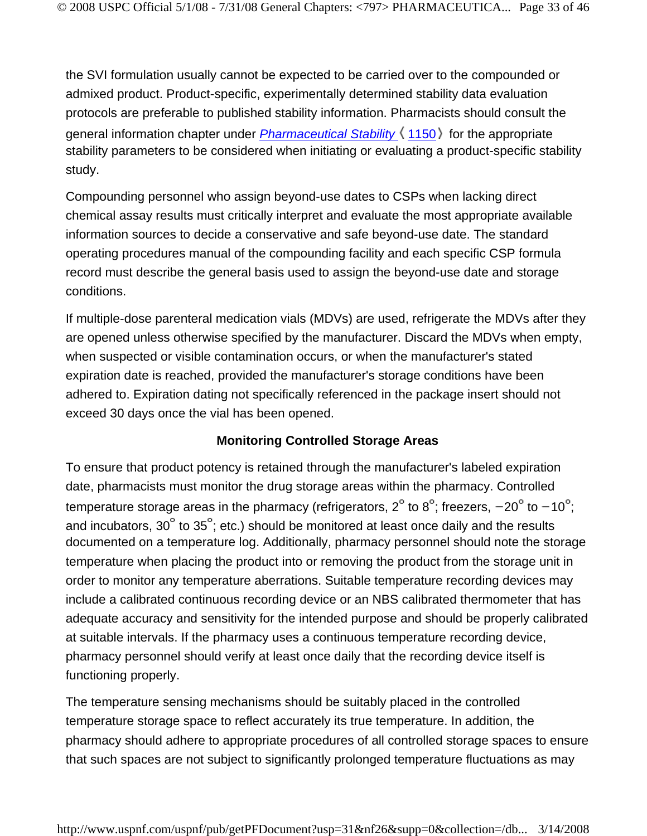the SVI formulation usually cannot be expected to be carried over to the compounded or admixed product. Product-specific, experimentally determined stability data evaluation protocols are preferable to published stability information. Pharmacists should consult the general information chapter under *Pharmaceutical Stability* 1150 for the appropriate stability parameters to be considered when initiating or evaluating a product-specific stability study.

Compounding personnel who assign beyond-use dates to CSPs when lacking direct chemical assay results must critically interpret and evaluate the most appropriate available information sources to decide a conservative and safe beyond-use date. The standard operating procedures manual of the compounding facility and each specific CSP formula record must describe the general basis used to assign the beyond-use date and storage conditions.

If multiple-dose parenteral medication vials (MDVs) are used, refrigerate the MDVs after they are opened unless otherwise specified by the manufacturer. Discard the MDVs when empty, when suspected or visible contamination occurs, or when the manufacturer's stated expiration date is reached, provided the manufacturer's storage conditions have been adhered to. Expiration dating not specifically referenced in the package insert should not exceed 30 days once the vial has been opened.

## **Monitoring Controlled Storage Areas**

To ensure that product potency is retained through the manufacturer's labeled expiration date, pharmacists must monitor the drug storage areas within the pharmacy. Controlled temperature storage areas in the pharmacy (refrigerators,  $2^\circ$  to  $8^\circ$ ; freezers,  $-20^\circ$  to  $-10^\circ$ ; and incubators,  $30^{\circ}$  to  $35^{\circ}$ ; etc.) should be monitored at least once daily and the results documented on a temperature log. Additionally, pharmacy personnel should note the storage temperature when placing the product into or removing the product from the storage unit in order to monitor any temperature aberrations. Suitable temperature recording devices may include a calibrated continuous recording device or an NBS calibrated thermometer that has adequate accuracy and sensitivity for the intended purpose and should be properly calibrated at suitable intervals. If the pharmacy uses a continuous temperature recording device, pharmacy personnel should verify at least once daily that the recording device itself is functioning properly.

The temperature sensing mechanisms should be suitably placed in the controlled temperature storage space to reflect accurately its true temperature. In addition, the pharmacy should adhere to appropriate procedures of all controlled storage spaces to ensure that such spaces are not subject to significantly prolonged temperature fluctuations as may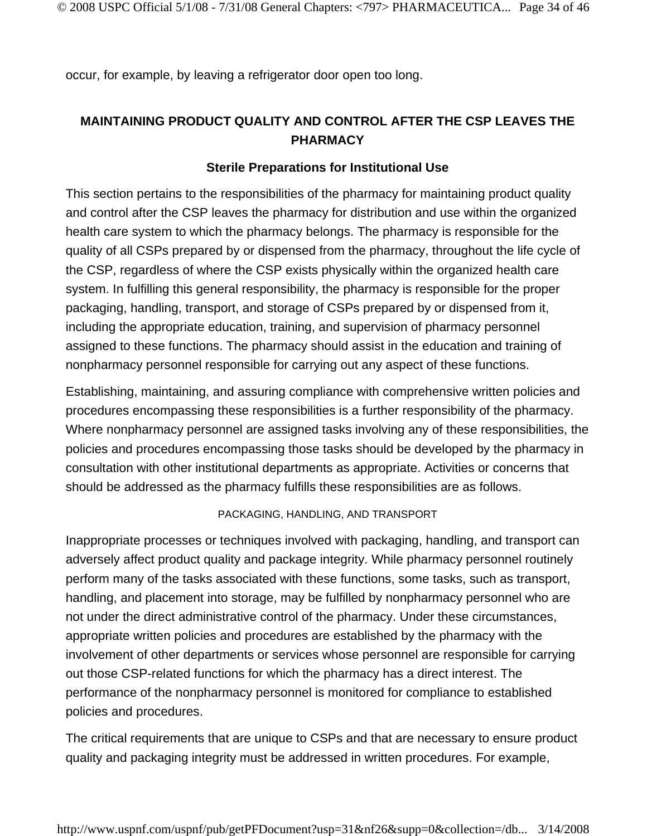occur, for example, by leaving a refrigerator door open too long.

## **MAINTAINING PRODUCT QUALITY AND CONTROL AFTER THE CSP LEAVES THE PHARMACY**

## **Sterile Preparations for Institutional Use**

This section pertains to the responsibilities of the pharmacy for maintaining product quality and control after the CSP leaves the pharmacy for distribution and use within the organized health care system to which the pharmacy belongs. The pharmacy is responsible for the quality of all CSPs prepared by or dispensed from the pharmacy, throughout the life cycle of the CSP, regardless of where the CSP exists physically within the organized health care system. In fulfilling this general responsibility, the pharmacy is responsible for the proper packaging, handling, transport, and storage of CSPs prepared by or dispensed from it, including the appropriate education, training, and supervision of pharmacy personnel assigned to these functions. The pharmacy should assist in the education and training of nonpharmacy personnel responsible for carrying out any aspect of these functions.

Establishing, maintaining, and assuring compliance with comprehensive written policies and procedures encompassing these responsibilities is a further responsibility of the pharmacy. Where nonpharmacy personnel are assigned tasks involving any of these responsibilities, the policies and procedures encompassing those tasks should be developed by the pharmacy in consultation with other institutional departments as appropriate. Activities or concerns that should be addressed as the pharmacy fulfills these responsibilities are as follows.

## PACKAGING, HANDLING, AND TRANSPORT

Inappropriate processes or techniques involved with packaging, handling, and transport can adversely affect product quality and package integrity. While pharmacy personnel routinely perform many of the tasks associated with these functions, some tasks, such as transport, handling, and placement into storage, may be fulfilled by nonpharmacy personnel who are not under the direct administrative control of the pharmacy. Under these circumstances, appropriate written policies and procedures are established by the pharmacy with the involvement of other departments or services whose personnel are responsible for carrying out those CSP-related functions for which the pharmacy has a direct interest. The performance of the nonpharmacy personnel is monitored for compliance to established policies and procedures.

The critical requirements that are unique to CSPs and that are necessary to ensure product quality and packaging integrity must be addressed in written procedures. For example,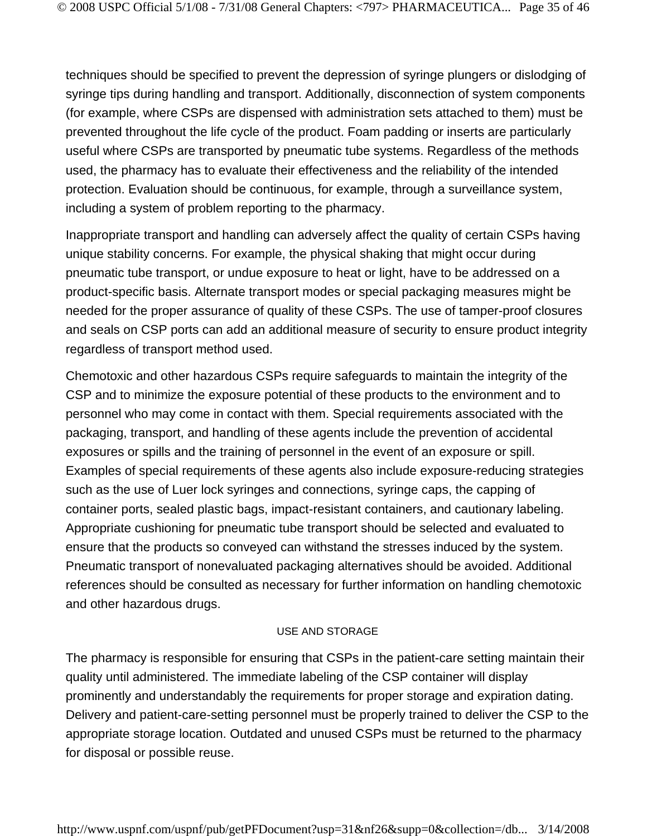techniques should be specified to prevent the depression of syringe plungers or dislodging of syringe tips during handling and transport. Additionally, disconnection of system components (for example, where CSPs are dispensed with administration sets attached to them) must be prevented throughout the life cycle of the product. Foam padding or inserts are particularly useful where CSPs are transported by pneumatic tube systems. Regardless of the methods used, the pharmacy has to evaluate their effectiveness and the reliability of the intended protection. Evaluation should be continuous, for example, through a surveillance system, including a system of problem reporting to the pharmacy.

Inappropriate transport and handling can adversely affect the quality of certain CSPs having unique stability concerns. For example, the physical shaking that might occur during pneumatic tube transport, or undue exposure to heat or light, have to be addressed on a product-specific basis. Alternate transport modes or special packaging measures might be needed for the proper assurance of quality of these CSPs. The use of tamper-proof closures and seals on CSP ports can add an additional measure of security to ensure product integrity regardless of transport method used.

Chemotoxic and other hazardous CSPs require safeguards to maintain the integrity of the CSP and to minimize the exposure potential of these products to the environment and to personnel who may come in contact with them. Special requirements associated with the packaging, transport, and handling of these agents include the prevention of accidental exposures or spills and the training of personnel in the event of an exposure or spill. Examples of special requirements of these agents also include exposure-reducing strategies such as the use of Luer lock syringes and connections, syringe caps, the capping of container ports, sealed plastic bags, impact-resistant containers, and cautionary labeling. Appropriate cushioning for pneumatic tube transport should be selected and evaluated to ensure that the products so conveyed can withstand the stresses induced by the system. Pneumatic transport of nonevaluated packaging alternatives should be avoided. Additional references should be consulted as necessary for further information on handling chemotoxic and other hazardous drugs.

#### USE AND STORAGE

The pharmacy is responsible for ensuring that CSPs in the patient-care setting maintain their quality until administered. The immediate labeling of the CSP container will display prominently and understandably the requirements for proper storage and expiration dating. Delivery and patient-care-setting personnel must be properly trained to deliver the CSP to the appropriate storage location. Outdated and unused CSPs must be returned to the pharmacy for disposal or possible reuse.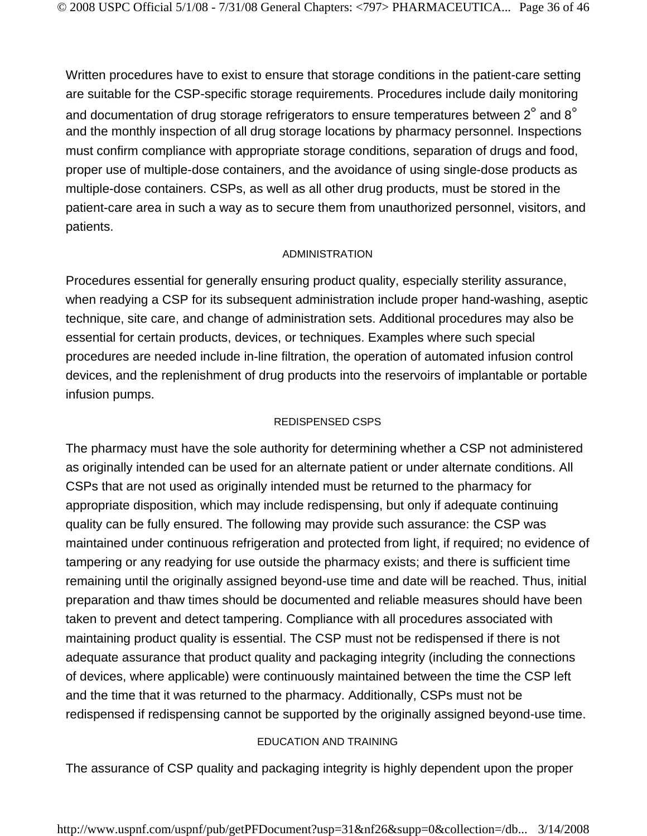Written procedures have to exist to ensure that storage conditions in the patient-care setting are suitable for the CSP-specific storage requirements. Procedures include daily monitoring and documentation of drug storage refrigerators to ensure temperatures between  $2^\circ$  and  $8^\circ$ and the monthly inspection of all drug storage locations by pharmacy personnel. Inspections must confirm compliance with appropriate storage conditions, separation of drugs and food, proper use of multiple-dose containers, and the avoidance of using single-dose products as multiple-dose containers. CSPs, as well as all other drug products, must be stored in the patient-care area in such a way as to secure them from unauthorized personnel, visitors, and patients.

#### ADMINISTRATION

Procedures essential for generally ensuring product quality, especially sterility assurance, when readying a CSP for its subsequent administration include proper hand-washing, aseptic technique, site care, and change of administration sets. Additional procedures may also be essential for certain products, devices, or techniques. Examples where such special procedures are needed include in-line filtration, the operation of automated infusion control devices, and the replenishment of drug products into the reservoirs of implantable or portable infusion pumps.

#### REDISPENSED CSPS

The pharmacy must have the sole authority for determining whether a CSP not administered as originally intended can be used for an alternate patient or under alternate conditions. All CSPs that are not used as originally intended must be returned to the pharmacy for appropriate disposition, which may include redispensing, but only if adequate continuing quality can be fully ensured. The following may provide such assurance: the CSP was maintained under continuous refrigeration and protected from light, if required; no evidence of tampering or any readying for use outside the pharmacy exists; and there is sufficient time remaining until the originally assigned beyond-use time and date will be reached. Thus, initial preparation and thaw times should be documented and reliable measures should have been taken to prevent and detect tampering. Compliance with all procedures associated with maintaining product quality is essential. The CSP must not be redispensed if there is not adequate assurance that product quality and packaging integrity (including the connections of devices, where applicable) were continuously maintained between the time the CSP left and the time that it was returned to the pharmacy. Additionally, CSPs must not be redispensed if redispensing cannot be supported by the originally assigned beyond-use time.

#### EDUCATION AND TRAINING

The assurance of CSP quality and packaging integrity is highly dependent upon the proper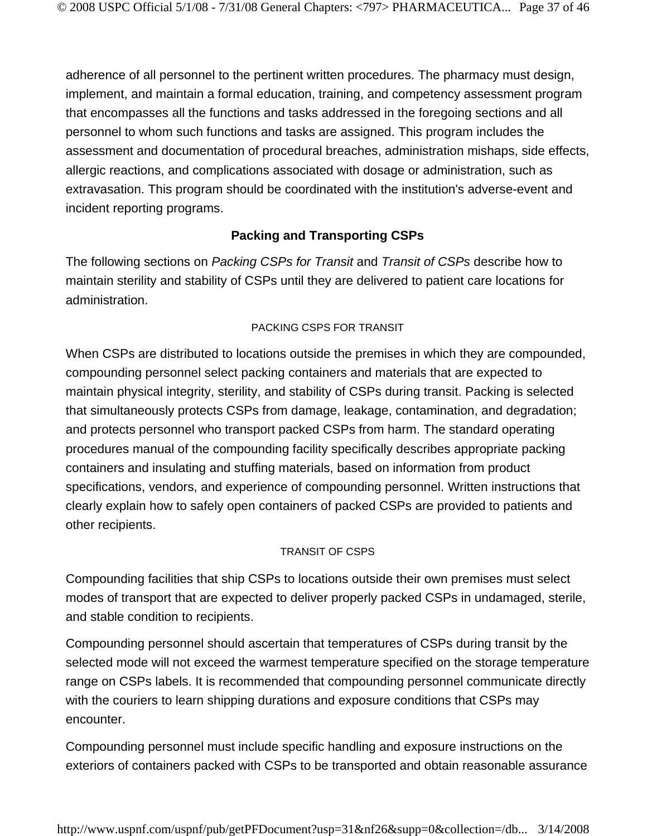adherence of all personnel to the pertinent written procedures. The pharmacy must design, implement, and maintain a formal education, training, and competency assessment program that encompasses all the functions and tasks addressed in the foregoing sections and all personnel to whom such functions and tasks are assigned. This program includes the assessment and documentation of procedural breaches, administration mishaps, side effects, allergic reactions, and complications associated with dosage or administration, such as extravasation. This program should be coordinated with the institution's adverse-event and incident reporting programs.

## **Packing and Transporting CSPs**

The following sections on *Packing CSPs for Transit* and *Transit of CSPs* describe how to maintain sterility and stability of CSPs until they are delivered to patient care locations for administration.

#### PACKING CSPS FOR TRANSIT

When CSPs are distributed to locations outside the premises in which they are compounded, compounding personnel select packing containers and materials that are expected to maintain physical integrity, sterility, and stability of CSPs during transit. Packing is selected that simultaneously protects CSPs from damage, leakage, contamination, and degradation; and protects personnel who transport packed CSPs from harm. The standard operating procedures manual of the compounding facility specifically describes appropriate packing containers and insulating and stuffing materials, based on information from product specifications, vendors, and experience of compounding personnel. Written instructions that clearly explain how to safely open containers of packed CSPs are provided to patients and other recipients.

#### TRANSIT OF CSPS

Compounding facilities that ship CSPs to locations outside their own premises must select modes of transport that are expected to deliver properly packed CSPs in undamaged, sterile, and stable condition to recipients.

Compounding personnel should ascertain that temperatures of CSPs during transit by the selected mode will not exceed the warmest temperature specified on the storage temperature range on CSPs labels. It is recommended that compounding personnel communicate directly with the couriers to learn shipping durations and exposure conditions that CSPs may encounter.

Compounding personnel must include specific handling and exposure instructions on the exteriors of containers packed with CSPs to be transported and obtain reasonable assurance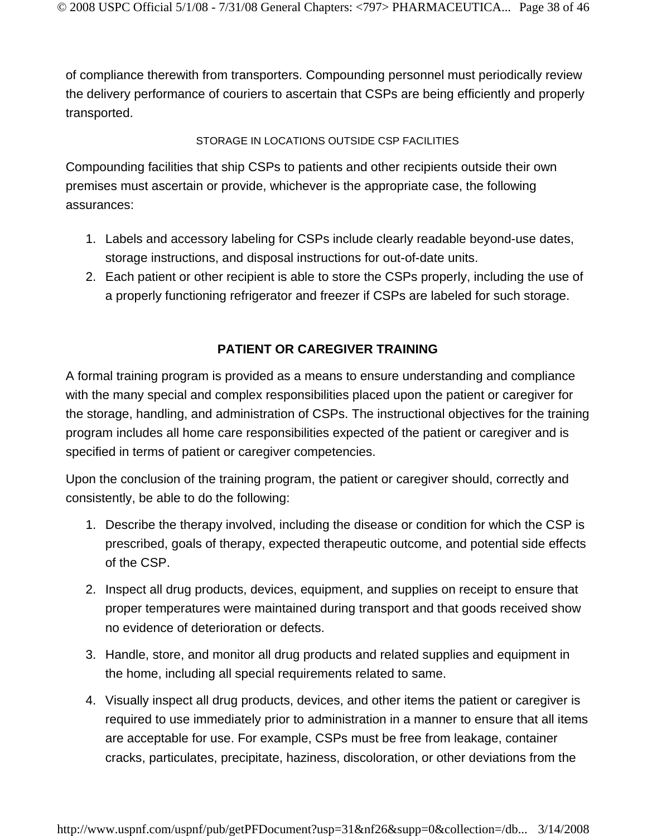of compliance therewith from transporters. Compounding personnel must periodically review the delivery performance of couriers to ascertain that CSPs are being efficiently and properly transported.

#### STORAGE IN LOCATIONS OUTSIDE CSP FACILITIES

Compounding facilities that ship CSPs to patients and other recipients outside their own premises must ascertain or provide, whichever is the appropriate case, the following assurances:

- 1. Labels and accessory labeling for CSPs include clearly readable beyond-use dates, storage instructions, and disposal instructions for out-of-date units.
- 2. Each patient or other recipient is able to store the CSPs properly, including the use of a properly functioning refrigerator and freezer if CSPs are labeled for such storage.

## **PATIENT OR CAREGIVER TRAINING**

A formal training program is provided as a means to ensure understanding and compliance with the many special and complex responsibilities placed upon the patient or caregiver for the storage, handling, and administration of CSPs. The instructional objectives for the training program includes all home care responsibilities expected of the patient or caregiver and is specified in terms of patient or caregiver competencies.

Upon the conclusion of the training program, the patient or caregiver should, correctly and consistently, be able to do the following:

- 1. Describe the therapy involved, including the disease or condition for which the CSP is prescribed, goals of therapy, expected therapeutic outcome, and potential side effects of the CSP.
- 2. Inspect all drug products, devices, equipment, and supplies on receipt to ensure that proper temperatures were maintained during transport and that goods received show no evidence of deterioration or defects.
- 3. Handle, store, and monitor all drug products and related supplies and equipment in the home, including all special requirements related to same.
- 4. Visually inspect all drug products, devices, and other items the patient or caregiver is required to use immediately prior to administration in a manner to ensure that all items are acceptable for use. For example, CSPs must be free from leakage, container cracks, particulates, precipitate, haziness, discoloration, or other deviations from the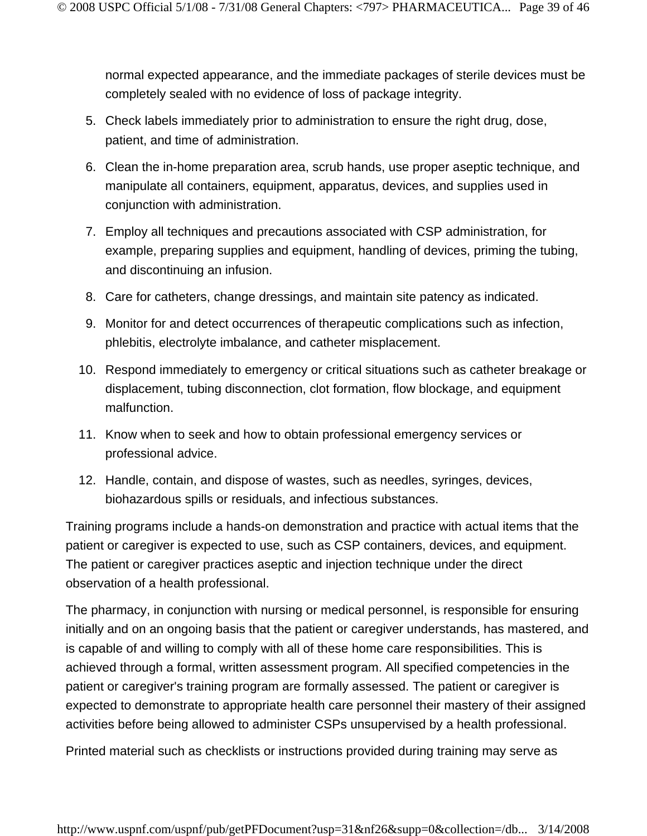normal expected appearance, and the immediate packages of sterile devices must be completely sealed with no evidence of loss of package integrity.

- 5. Check labels immediately prior to administration to ensure the right drug, dose, patient, and time of administration.
- 6. Clean the in-home preparation area, scrub hands, use proper aseptic technique, and manipulate all containers, equipment, apparatus, devices, and supplies used in conjunction with administration.
- 7. Employ all techniques and precautions associated with CSP administration, for example, preparing supplies and equipment, handling of devices, priming the tubing, and discontinuing an infusion.
- 8. Care for catheters, change dressings, and maintain site patency as indicated.
- 9. Monitor for and detect occurrences of therapeutic complications such as infection, phlebitis, electrolyte imbalance, and catheter misplacement.
- 10. Respond immediately to emergency or critical situations such as catheter breakage or displacement, tubing disconnection, clot formation, flow blockage, and equipment malfunction.
- 11. Know when to seek and how to obtain professional emergency services or professional advice.
- 12. Handle, contain, and dispose of wastes, such as needles, syringes, devices, biohazardous spills or residuals, and infectious substances.

Training programs include a hands-on demonstration and practice with actual items that the patient or caregiver is expected to use, such as CSP containers, devices, and equipment. The patient or caregiver practices aseptic and injection technique under the direct observation of a health professional.

The pharmacy, in conjunction with nursing or medical personnel, is responsible for ensuring initially and on an ongoing basis that the patient or caregiver understands, has mastered, and is capable of and willing to comply with all of these home care responsibilities. This is achieved through a formal, written assessment program. All specified competencies in the patient or caregiver's training program are formally assessed. The patient or caregiver is expected to demonstrate to appropriate health care personnel their mastery of their assigned activities before being allowed to administer CSPs unsupervised by a health professional.

Printed material such as checklists or instructions provided during training may serve as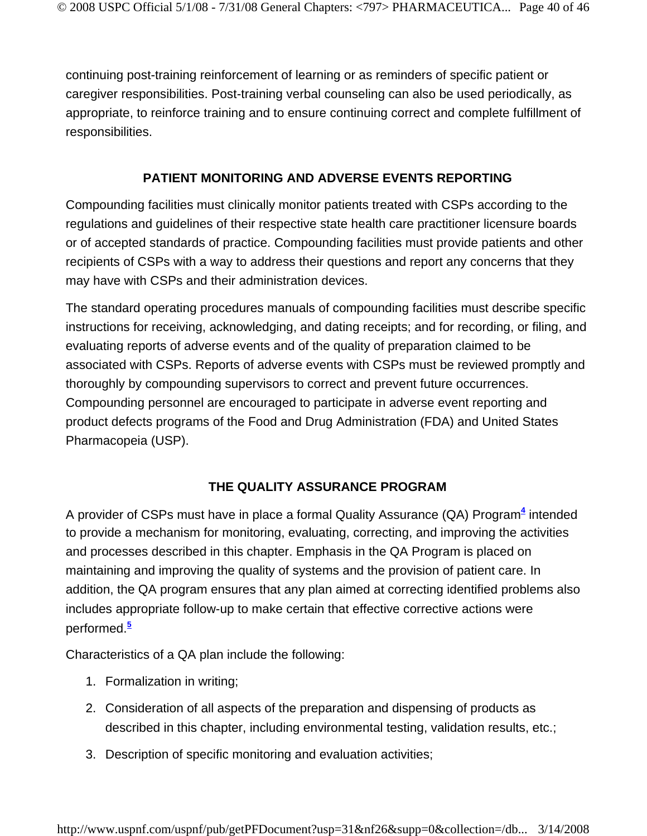continuing post-training reinforcement of learning or as reminders of specific patient or caregiver responsibilities. Post-training verbal counseling can also be used periodically, as appropriate, to reinforce training and to ensure continuing correct and complete fulfillment of responsibilities.

## **PATIENT MONITORING AND ADVERSE EVENTS REPORTING**

Compounding facilities must clinically monitor patients treated with CSPs according to the regulations and guidelines of their respective state health care practitioner licensure boards or of accepted standards of practice. Compounding facilities must provide patients and other recipients of CSPs with a way to address their questions and report any concerns that they may have with CSPs and their administration devices.

The standard operating procedures manuals of compounding facilities must describe specific instructions for receiving, acknowledging, and dating receipts; and for recording, or filing, and evaluating reports of adverse events and of the quality of preparation claimed to be associated with CSPs. Reports of adverse events with CSPs must be reviewed promptly and thoroughly by compounding supervisors to correct and prevent future occurrences. Compounding personnel are encouraged to participate in adverse event reporting and product defects programs of the Food and Drug Administration (FDA) and United States Pharmacopeia (USP).

## **THE QUALITY ASSURANCE PROGRAM**

A provider of CSPs must have in place a formal Quality Assurance (QA) Program<sup>4</sup> intended to provide a mechanism for monitoring, evaluating, correcting, and improving the activities and processes described in this chapter. Emphasis in the QA Program is placed on maintaining and improving the quality of systems and the provision of patient care. In addition, the QA program ensures that any plan aimed at correcting identified problems also includes appropriate follow-up to make certain that effective corrective actions were performed.**<sup>5</sup>**

Characteristics of a QA plan include the following:

- 1. Formalization in writing;
- 2. Consideration of all aspects of the preparation and dispensing of products as described in this chapter, including environmental testing, validation results, etc.;
- 3. Description of specific monitoring and evaluation activities;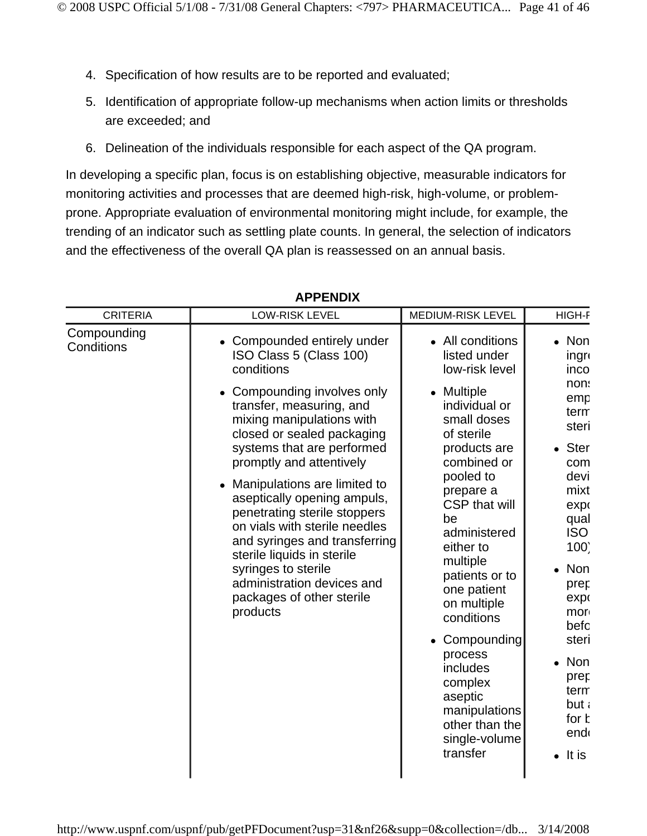- 4. Specification of how results are to be reported and evaluated;
- 5. Identification of appropriate follow-up mechanisms when action limits or thresholds are exceeded; and
- 6. Delineation of the individuals responsible for each aspect of the QA program.

In developing a specific plan, focus is on establishing objective, measurable indicators for monitoring activities and processes that are deemed high-risk, high-volume, or problemprone. Appropriate evaluation of environmental monitoring might include, for example, the trending of an indicator such as settling plate counts. In general, the selection of indicators and the effectiveness of the overall QA plan is reassessed on an annual basis.

| <b>CRITERIA</b>           | <b>LOW-RISK LEVEL</b>                                                                                                                                                                                                                                                                                                                                                                                                                                                                                                                               | <b>MEDIUM-RISK LEVEL</b>                                                                                                                                                                                                                                                                                                                                                                                                            | <b>HIGH-F</b>                                                                                                                                                                                                                                                                                |
|---------------------------|-----------------------------------------------------------------------------------------------------------------------------------------------------------------------------------------------------------------------------------------------------------------------------------------------------------------------------------------------------------------------------------------------------------------------------------------------------------------------------------------------------------------------------------------------------|-------------------------------------------------------------------------------------------------------------------------------------------------------------------------------------------------------------------------------------------------------------------------------------------------------------------------------------------------------------------------------------------------------------------------------------|----------------------------------------------------------------------------------------------------------------------------------------------------------------------------------------------------------------------------------------------------------------------------------------------|
| Compounding<br>Conditions | • Compounded entirely under<br>ISO Class 5 (Class 100)<br>conditions<br>• Compounding involves only<br>transfer, measuring, and<br>mixing manipulations with<br>closed or sealed packaging<br>systems that are performed<br>promptly and attentively<br>• Manipulations are limited to<br>aseptically opening ampuls,<br>penetrating sterile stoppers<br>on vials with sterile needles<br>and syringes and transferring<br>sterile liquids in sterile<br>syringes to sterile<br>administration devices and<br>packages of other sterile<br>products | • All conditions<br>listed under<br>low-risk level<br>• Multiple<br>individual or<br>small doses<br>of sterile<br>products are<br>combined or<br>pooled to<br>prepare a<br>CSP that will<br>be<br>administered<br>either to<br>multiple<br>patients or to<br>one patient<br>on multiple<br>conditions<br>• Compounding<br>process<br>includes<br>complex<br>aseptic<br>manipulations<br>other than the<br>single-volume<br>transfer | $\bullet$ Non<br>ingre<br>inco<br>non:<br>emp<br>term<br>steri<br><b>Ster</b><br>$\bullet$<br>com<br>devi<br>mixt<br>expo<br>qual<br><b>ISO</b><br>100<br>Non<br>prep<br>expo<br>mor<br>befc<br>steri<br>$\bullet$ Non<br>prep<br>term<br>but $\mathfrak{c}$<br>for <b>k</b><br>end<br>It is |

#### **APPENDIX**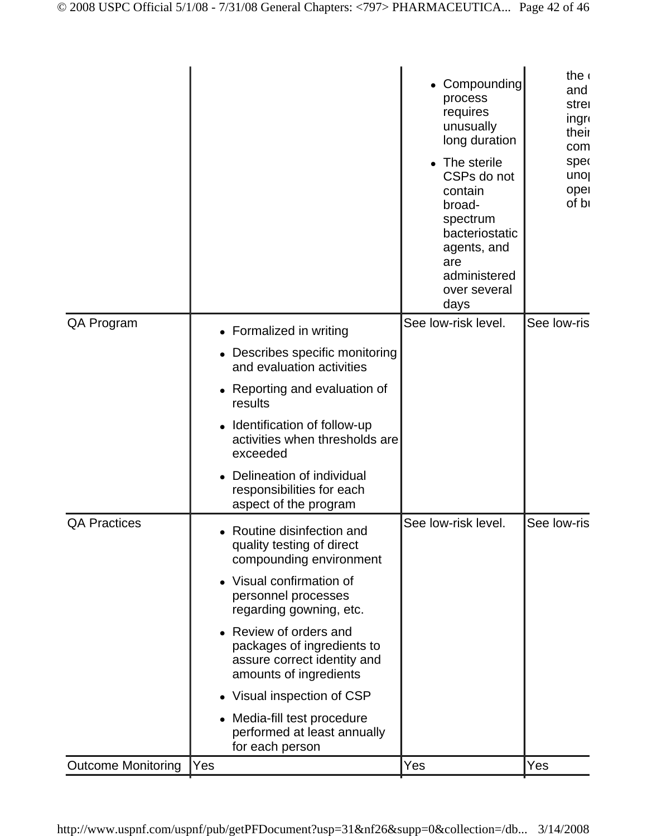|                           |                                                                                                             | • Compounding<br>process<br>requires<br>unusually<br>long duration<br>• The sterile<br>CSPs do not<br>contain<br>broad-<br>spectrum<br>bacteriostatic<br>agents, and<br>are<br>administered<br>over several<br>days | the $\mathfrak{c}$<br>and<br>stre<br>ingr<br>their<br>com<br>spec<br>uno<br>oper<br>of bi |
|---------------------------|-------------------------------------------------------------------------------------------------------------|---------------------------------------------------------------------------------------------------------------------------------------------------------------------------------------------------------------------|-------------------------------------------------------------------------------------------|
| QA Program                | • Formalized in writing                                                                                     | See low-risk level.                                                                                                                                                                                                 | See low-ris                                                                               |
|                           | • Describes specific monitoring<br>and evaluation activities                                                |                                                                                                                                                                                                                     |                                                                                           |
|                           | • Reporting and evaluation of<br>results                                                                    |                                                                                                                                                                                                                     |                                                                                           |
|                           | • Identification of follow-up<br>activities when thresholds are<br>exceeded                                 |                                                                                                                                                                                                                     |                                                                                           |
|                           | Delineation of individual<br>responsibilities for each<br>aspect of the program                             |                                                                                                                                                                                                                     |                                                                                           |
| <b>QA Practices</b>       | Routine disinfection and<br>quality testing of direct<br>compounding environment                            | See low-risk level.                                                                                                                                                                                                 | See low-ris                                                                               |
|                           | • Visual confirmation of<br>personnel processes<br>regarding gowning, etc.                                  |                                                                                                                                                                                                                     |                                                                                           |
|                           | Review of orders and<br>packages of ingredients to<br>assure correct identity and<br>amounts of ingredients |                                                                                                                                                                                                                     |                                                                                           |
|                           | • Visual inspection of CSP                                                                                  |                                                                                                                                                                                                                     |                                                                                           |
|                           | Media-fill test procedure<br>performed at least annually<br>for each person                                 |                                                                                                                                                                                                                     |                                                                                           |
| <b>Outcome Monitoring</b> | Yes                                                                                                         | Yes                                                                                                                                                                                                                 | Yes                                                                                       |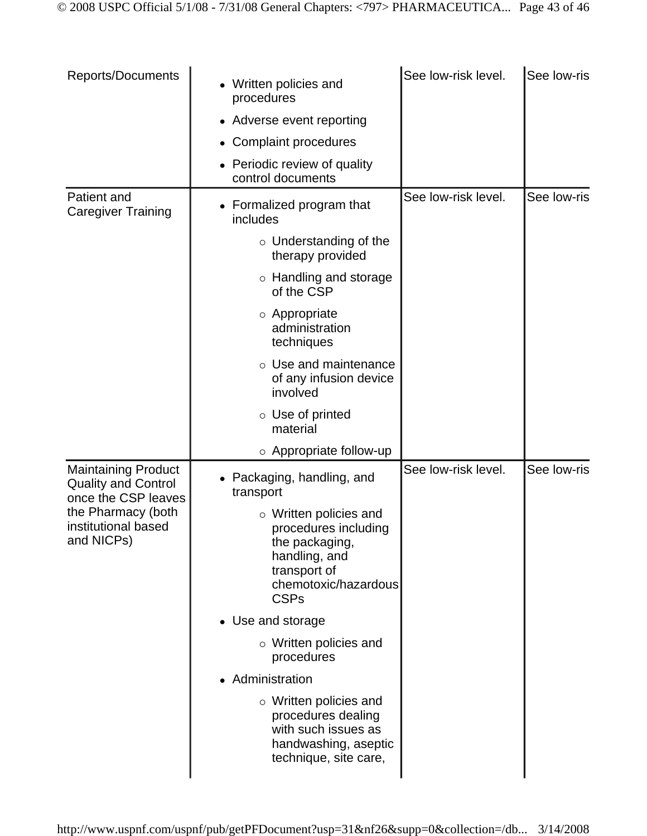| Reports/Documents                                                               | • Written policies and<br>procedures                                                                                                           | See low-risk level. | See low-ris |
|---------------------------------------------------------------------------------|------------------------------------------------------------------------------------------------------------------------------------------------|---------------------|-------------|
|                                                                                 | • Adverse event reporting                                                                                                                      |                     |             |
|                                                                                 | <b>Complaint procedures</b>                                                                                                                    |                     |             |
|                                                                                 | • Periodic review of quality<br>control documents                                                                                              |                     |             |
| Patient and<br><b>Caregiver Training</b>                                        | • Formalized program that<br>includes                                                                                                          | See low-risk level. | See low-ris |
|                                                                                 | ○ Understanding of the<br>therapy provided                                                                                                     |                     |             |
|                                                                                 | ○ Handling and storage<br>of the CSP                                                                                                           |                     |             |
|                                                                                 | $\circ$ Appropriate<br>administration<br>techniques                                                                                            |                     |             |
|                                                                                 | $\circ$ Use and maintenance<br>of any infusion device<br>involved                                                                              |                     |             |
|                                                                                 | ○ Use of printed<br>material                                                                                                                   |                     |             |
|                                                                                 | $\circ$ Appropriate follow-up                                                                                                                  |                     |             |
| <b>Maintaining Product</b><br><b>Quality and Control</b><br>once the CSP leaves | • Packaging, handling, and<br>transport                                                                                                        | See low-risk level. | See low-ris |
| the Pharmacy (both<br>institutional based<br>and NICPs)                         | $\circ$ Written policies and<br>procedures including<br>the packaging,<br>handling, and<br>transport of<br>chemotoxic/hazardous<br><b>CSPs</b> |                     |             |
|                                                                                 | • Use and storage                                                                                                                              |                     |             |
|                                                                                 | ○ Written policies and<br>procedures                                                                                                           |                     |             |
|                                                                                 | • Administration                                                                                                                               |                     |             |
|                                                                                 | $\circ$ Written policies and<br>procedures dealing<br>with such issues as<br>handwashing, aseptic<br>technique, site care,                     |                     |             |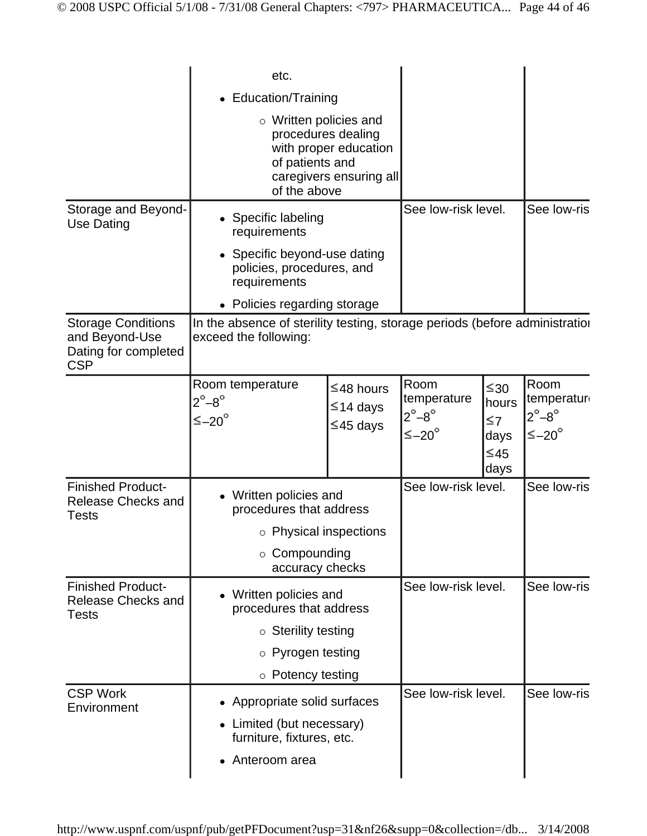|                                                                                   | etc.<br>• Education/Training<br>○ Written policies and<br>procedures dealing<br>of patients and<br>of the above       | with proper education<br>caregivers ensuring all |                                                       |                                                   |                                                    |
|-----------------------------------------------------------------------------------|-----------------------------------------------------------------------------------------------------------------------|--------------------------------------------------|-------------------------------------------------------|---------------------------------------------------|----------------------------------------------------|
| Storage and Beyond-<br>Use Dating                                                 | • Specific labeling<br>requirements<br>Specific beyond-use dating<br>policies, procedures, and<br>requirements        |                                                  | See low-risk level.                                   |                                                   | See low-ris                                        |
|                                                                                   | • Policies regarding storage                                                                                          |                                                  |                                                       |                                                   |                                                    |
| <b>Storage Conditions</b><br>and Beyond-Use<br>Dating for completed<br><b>CSP</b> | In the absence of sterility testing, storage periods (before administration<br>exceed the following:                  |                                                  |                                                       |                                                   |                                                    |
|                                                                                   | Room temperature<br>$2^\circ - 8^\circ$<br>$≤-20°$                                                                    | ≤48 hours<br>≤14 days<br>≤45 days                | Room<br>temperature<br>$2^\circ - 8^\circ$<br>$≤-20°$ | $\leq 30$<br>hours<br>≤7<br>days<br>$≤45$<br>days | Room<br>temperatur<br>$2^\circ - 8^\circ$<br>≤–20° |
| <b>Finished Product-</b><br><b>Release Checks and</b><br><b>Tests</b>             | • Written policies and<br>procedures that address<br>○ Physical inspections<br>$\circ$ Compounding<br>accuracy checks |                                                  | See low-risk level.                                   |                                                   | See low-ris                                        |
| <b>Finished Product-</b><br>Release Checks and<br><b>Tests</b>                    | • Written policies and<br>procedures that address<br>○ Sterility testing<br>○ Pyrogen testing<br>○ Potency testing    |                                                  | See low-risk level.                                   |                                                   | See low-ris                                        |
| <b>CSP Work</b><br>Environment                                                    | • Appropriate solid surfaces<br>• Limited (but necessary)<br>furniture, fixtures, etc.<br>• Anteroom area             |                                                  | See low-risk level.                                   |                                                   | See low-ris                                        |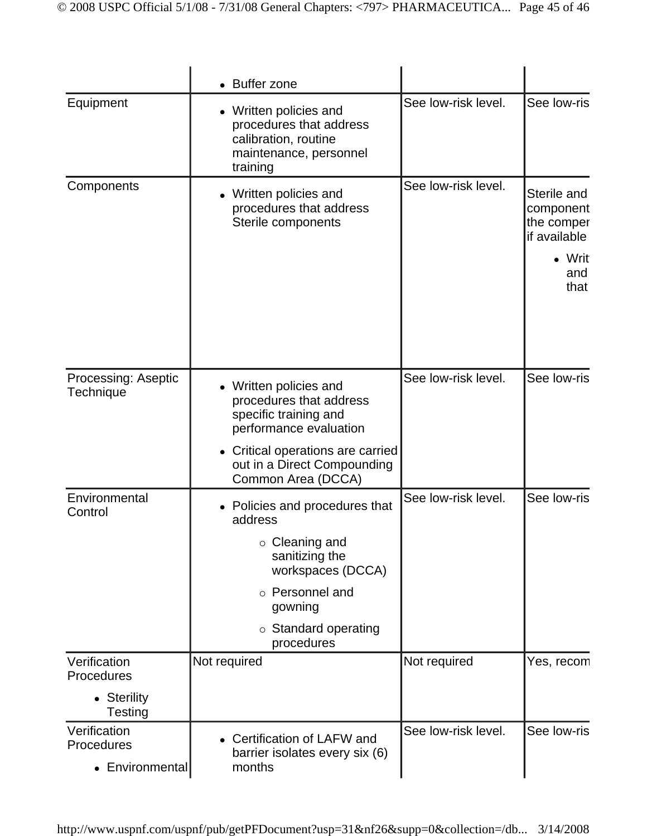|                                                      | <b>Buffer zone</b>                                                                                                                                                                             |                     |                                                                                 |
|------------------------------------------------------|------------------------------------------------------------------------------------------------------------------------------------------------------------------------------------------------|---------------------|---------------------------------------------------------------------------------|
| Equipment                                            | • Written policies and<br>procedures that address<br>calibration, routine<br>maintenance, personnel<br>training                                                                                | See low-risk level. | See low-ris                                                                     |
| Components                                           | • Written policies and<br>procedures that address<br>Sterile components                                                                                                                        | See low-risk level. | Sterile and<br>component<br>the comper<br>if available<br>• Writ<br>and<br>that |
| Processing: Aseptic<br>Technique                     | • Written policies and<br>procedures that address<br>specific training and<br>performance evaluation<br>• Critical operations are carried<br>out in a Direct Compounding<br>Common Area (DCCA) | See low-risk level. | See low-ris                                                                     |
| Environmental<br>Control                             | • Policies and procedures that<br>address<br>$\circ$ Cleaning and<br>sanitizing the<br>workspaces (DCCA)<br>○ Personnel and<br>gowning<br>$\circ$ Standard operating<br>procedures             | See low-risk level. | See low-ris                                                                     |
| Verification<br>Procedures<br>• Sterility<br>Testing | Not required                                                                                                                                                                                   | Not required        | Yes, recom                                                                      |
| Verification<br>Procedures<br>Environmental          | • Certification of LAFW and<br>barrier isolates every six (6)<br>months                                                                                                                        | See low-risk level. | See low-ris                                                                     |